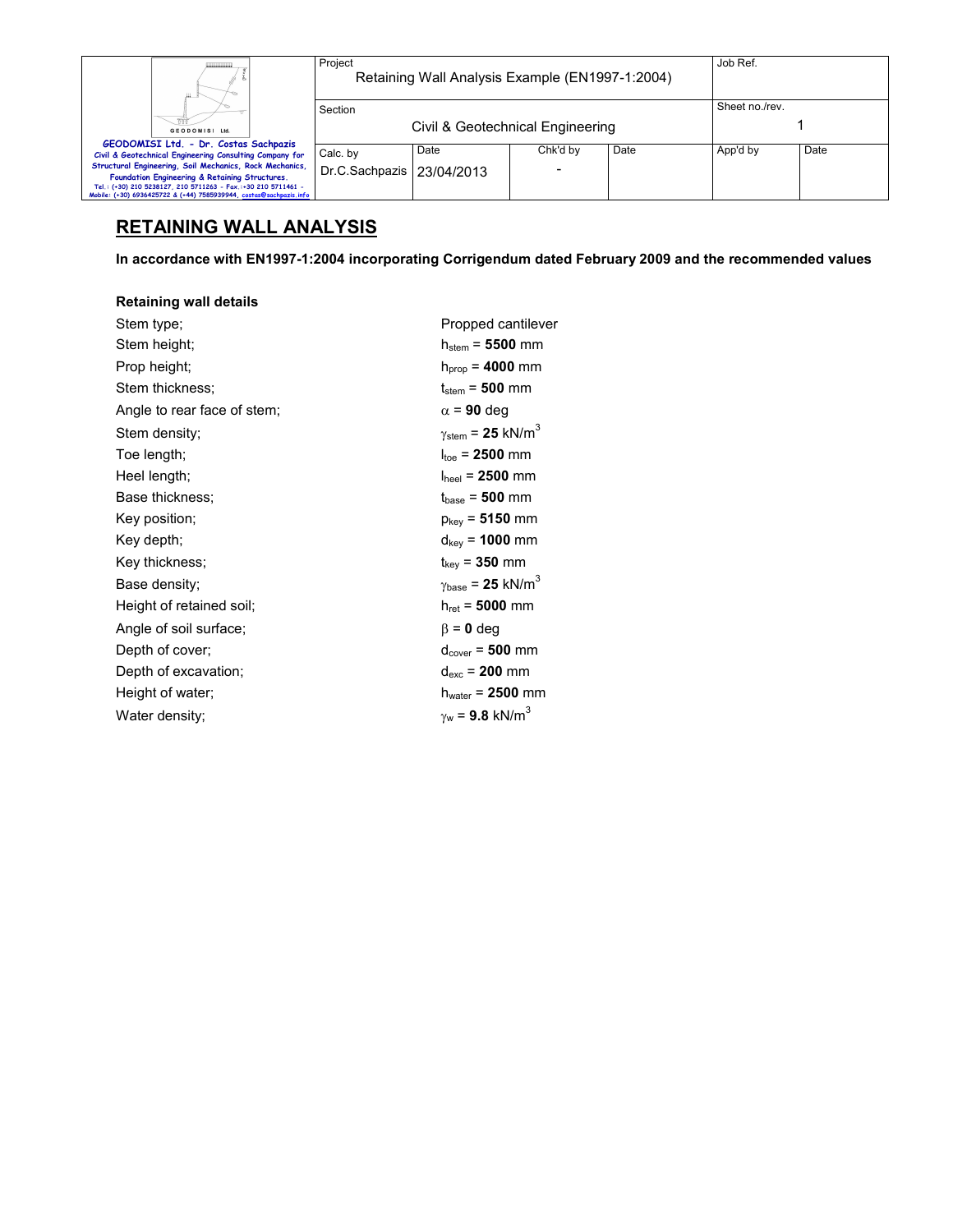| Sheet no./rev.<br>Section<br>Civil & Geotechnical Engineering<br>GEODOMISI Ltd.<br>GEODOMISI Ltd. - Dr. Costas Sachpazis<br>Date<br>App'd by<br>Date<br>Date<br>Chk'd by<br>Calc. by<br>Civil & Geotechnical Engineering Consulting Company for<br>Structural Engineering, Soil Mechanics, Rock Mechanics,<br>Dr.C.Sachpazis   23/04/2013 | ш                                              | Project | Retaining Wall Analysis Example (EN1997-1:2004) |  | Job Ref. |  |
|-------------------------------------------------------------------------------------------------------------------------------------------------------------------------------------------------------------------------------------------------------------------------------------------------------------------------------------------|------------------------------------------------|---------|-------------------------------------------------|--|----------|--|
|                                                                                                                                                                                                                                                                                                                                           |                                                |         |                                                 |  |          |  |
|                                                                                                                                                                                                                                                                                                                                           |                                                |         |                                                 |  |          |  |
|                                                                                                                                                                                                                                                                                                                                           |                                                |         |                                                 |  |          |  |
| Tel.: (+30) 210 5238127, 210 5711263 - Fax.:+30 210 5711461 -<br>Mobile: (+30) 6936425722 & (+44) 7585939944, costas@sachpazis.info                                                                                                                                                                                                       | Foundation Engineering & Retaining Structures. |         |                                                 |  |          |  |

# **RETAINING WALL ANALYSIS**

**In accordance with EN1997-1:2004 incorporating Corrigendum dated February 2009 and the recommended values** 

### **Retaining wall details**

| Stem type;                  | Propped cantilever                            |
|-----------------------------|-----------------------------------------------|
| Stem height;                | $h_{stem} = 5500$ mm                          |
| Prop height;                | $h_{\text{prop}} = 4000 \text{ mm}$           |
| Stem thickness;             | $t_{\text{stem}}$ = 500 mm                    |
| Angle to rear face of stem; | $\alpha$ = 90 deg                             |
| Stem density;               | $\gamma_{\text{stem}}$ = 25 kN/m <sup>3</sup> |
| Toe length;                 | $I_{\text{toe}}$ = 2500 mm                    |
| Heel length;                | $I_{\text{heel}}$ = 2500 mm                   |
| Base thickness:             | $t_{base} = 500$ mm                           |
| Key position;               | $p_{key}$ = 5150 mm                           |
| Key depth;                  | $d_{\text{key}}$ = 1000 mm                    |
| Key thickness;              | $t_{key}$ = 350 mm                            |
| Base density;               | $\gamma_{\text{base}} = 25 \text{ kN/m}^3$    |
| Height of retained soil;    | $h_{ret} = 5000$ mm                           |
| Angle of soil surface;      | $\beta$ = 0 deg                               |
| Depth of cover;             | $d_{cover} = 500$ mm                          |
| Depth of excavation;        | $d_{exc}$ = 200 mm                            |
| Height of water;            | $h_{water}$ = 2500 mm                         |
| Water density;              | $\gamma_{w}$ = 9.8 kN/m <sup>3</sup>          |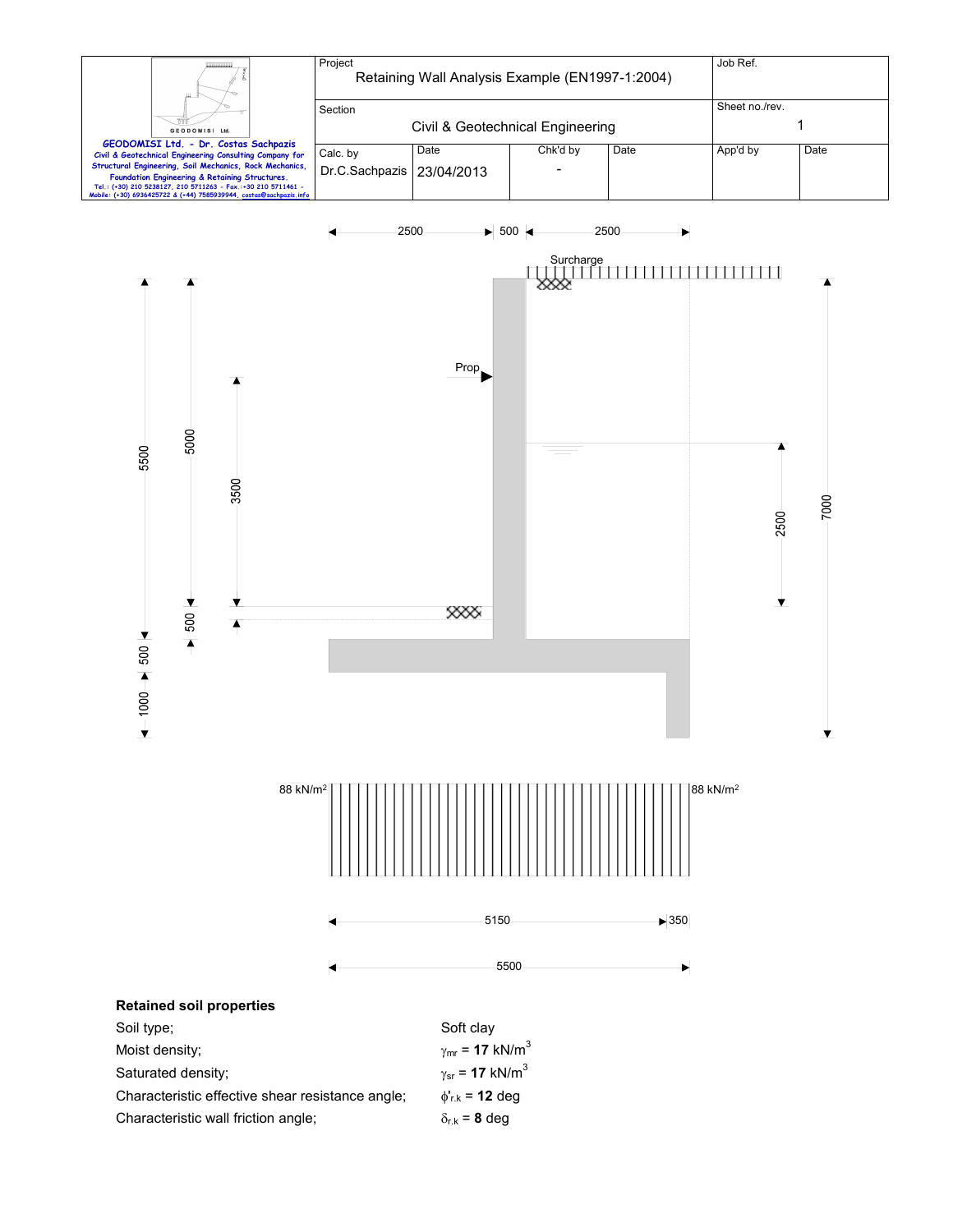



| Saturated density:                               | $\gamma_{sr}$ = 17 kN/m <sup>3</sup> |
|--------------------------------------------------|--------------------------------------|
| Characteristic effective shear resistance angle; | $\phi_{r,k}$ = 12 deg                |
| Characteristic wall friction angle;              | $\delta_{\rm rk}$ = 8 dea            |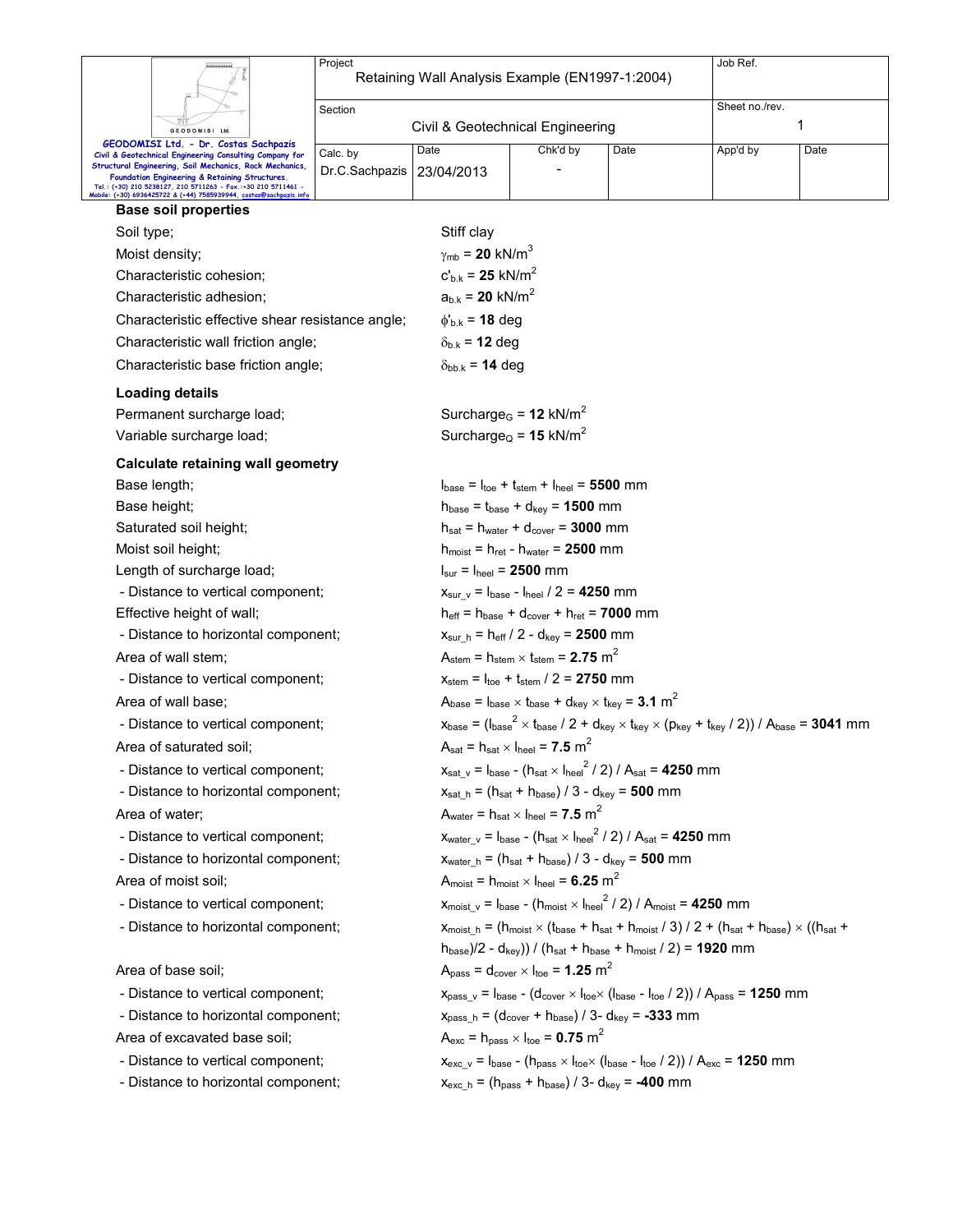|                                     |                                                                                                                                                                                                           | Project        | Job Ref.<br>Retaining Wall Analysis Example (EN1997-1:2004)                                                                                                                                   |                                                                                                                                                                 |                                                                                |                |      |  |  |  |
|-------------------------------------|-----------------------------------------------------------------------------------------------------------------------------------------------------------------------------------------------------------|----------------|-----------------------------------------------------------------------------------------------------------------------------------------------------------------------------------------------|-----------------------------------------------------------------------------------------------------------------------------------------------------------------|--------------------------------------------------------------------------------|----------------|------|--|--|--|
|                                     |                                                                                                                                                                                                           | Section        |                                                                                                                                                                                               |                                                                                                                                                                 |                                                                                | Sheet no./rev. |      |  |  |  |
|                                     | GEODOMISI Ltd                                                                                                                                                                                             |                | Civil & Geotechnical Engineering                                                                                                                                                              |                                                                                                                                                                 |                                                                                |                | 1    |  |  |  |
|                                     | GEODOMISI Ltd. - Dr. Costas Sachpazis                                                                                                                                                                     | Calc. by       | Date                                                                                                                                                                                          | Chk'd by                                                                                                                                                        | Date                                                                           | App'd by       | Date |  |  |  |
|                                     | Civil & Geotechnical Engineering Consulting Company for<br>Structural Engineering, Soil Mechanics, Rock Mechanics,                                                                                        | Dr.C.Sachpazis | 23/04/2013                                                                                                                                                                                    |                                                                                                                                                                 |                                                                                |                |      |  |  |  |
|                                     | Foundation Engineering & Retaining Structures.<br>Tel.: (+30) 210 5238127, 210 5711263 - Fax.:+30 210 5711461 -<br>Mobile: (+30) 6936425722 & (+44) 7585939944, <u>costas<mark>@sachpazis.inf</mark>c</u> |                |                                                                                                                                                                                               |                                                                                                                                                                 |                                                                                |                |      |  |  |  |
|                                     | <b>Base soil properties</b>                                                                                                                                                                               |                |                                                                                                                                                                                               |                                                                                                                                                                 |                                                                                |                |      |  |  |  |
| Soil type;                          |                                                                                                                                                                                                           |                | Stiff clay                                                                                                                                                                                    |                                                                                                                                                                 |                                                                                |                |      |  |  |  |
|                                     | Moist density;                                                                                                                                                                                            |                | $\gamma_{\rm mb}$ = 20 kN/m <sup>3</sup>                                                                                                                                                      |                                                                                                                                                                 |                                                                                |                |      |  |  |  |
|                                     | Characteristic cohesion;                                                                                                                                                                                  |                | $c'_{b,k} = 25$ kN/m <sup>2</sup>                                                                                                                                                             |                                                                                                                                                                 |                                                                                |                |      |  |  |  |
|                                     | Characteristic adhesion;                                                                                                                                                                                  |                |                                                                                                                                                                                               | $a_{b,k} = 20$ kN/m <sup>2</sup>                                                                                                                                |                                                                                |                |      |  |  |  |
|                                     | Characteristic effective shear resistance angle;                                                                                                                                                          |                | $\phi_{b.k}$ = 18 deg                                                                                                                                                                         |                                                                                                                                                                 |                                                                                |                |      |  |  |  |
|                                     | Characteristic wall friction angle;                                                                                                                                                                       |                | $\delta_{b,k}$ = 12 deg                                                                                                                                                                       |                                                                                                                                                                 |                                                                                |                |      |  |  |  |
|                                     | Characteristic base friction angle;                                                                                                                                                                       |                | $\delta_{bb,k}$ = 14 deg                                                                                                                                                                      |                                                                                                                                                                 |                                                                                |                |      |  |  |  |
|                                     | <b>Loading details</b>                                                                                                                                                                                    |                |                                                                                                                                                                                               |                                                                                                                                                                 |                                                                                |                |      |  |  |  |
|                                     | Permanent surcharge load;                                                                                                                                                                                 |                |                                                                                                                                                                                               | Surcharge <sub>G</sub> = $12$ kN/m <sup>2</sup>                                                                                                                 |                                                                                |                |      |  |  |  |
|                                     | Variable surcharge load;                                                                                                                                                                                  |                |                                                                                                                                                                                               | Surcharge <sub>Q</sub> = 15 kN/m <sup>2</sup>                                                                                                                   |                                                                                |                |      |  |  |  |
|                                     | <b>Calculate retaining wall geometry</b>                                                                                                                                                                  |                |                                                                                                                                                                                               |                                                                                                                                                                 |                                                                                |                |      |  |  |  |
|                                     | Base length;                                                                                                                                                                                              |                |                                                                                                                                                                                               | $I_{base} = I_{toe} + I_{stem} + I_{heel} = 5500$ mm                                                                                                            |                                                                                |                |      |  |  |  |
|                                     | Base height;                                                                                                                                                                                              |                |                                                                                                                                                                                               | $h_{base} = t_{base} + d_{key} = 1500$ mm                                                                                                                       |                                                                                |                |      |  |  |  |
|                                     | Saturated soil height;                                                                                                                                                                                    |                |                                                                                                                                                                                               | $h_{\text{sat}} = h_{\text{water}} + d_{\text{cover}} = 3000$ mm                                                                                                |                                                                                |                |      |  |  |  |
|                                     | Moist soil height;                                                                                                                                                                                        |                |                                                                                                                                                                                               | $h_{\text{moist}} = h_{\text{ret}} - h_{\text{water}} = 2500$ mm                                                                                                |                                                                                |                |      |  |  |  |
|                                     | Length of surcharge load;                                                                                                                                                                                 |                |                                                                                                                                                                                               | $I_{\text{sur}} = I_{\text{heel}} = 2500$ mm                                                                                                                    |                                                                                |                |      |  |  |  |
|                                     | - Distance to vertical component;                                                                                                                                                                         |                |                                                                                                                                                                                               | $X_{\text{sur v}} = I_{\text{base}} - I_{\text{heel}} / 2 = 4250$ mm                                                                                            |                                                                                |                |      |  |  |  |
|                                     | Effective height of wall;                                                                                                                                                                                 |                |                                                                                                                                                                                               | $h_{\text{eff}} = h_{\text{base}} + d_{\text{cover}} + h_{\text{ret}} = 7000$ mm                                                                                |                                                                                |                |      |  |  |  |
|                                     | - Distance to horizontal component;                                                                                                                                                                       |                |                                                                                                                                                                                               | $x_{\text{sur\_h}} = h_{\text{eff}} / 2 - d_{\text{key}} = 2500 \text{ mm}$                                                                                     |                                                                                |                |      |  |  |  |
|                                     | Area of wall stem;                                                                                                                                                                                        |                |                                                                                                                                                                                               | $A_{\text{stem}} = h_{\text{stem}} \times t_{\text{stem}} = 2.75 \text{ m}^2$                                                                                   |                                                                                |                |      |  |  |  |
|                                     | - Distance to vertical component;                                                                                                                                                                         |                |                                                                                                                                                                                               | $x_{\text{stem}} = I_{\text{toe}} + t_{\text{stem}} / 2 = 2750$ mm                                                                                              |                                                                                |                |      |  |  |  |
|                                     | Area of wall base;                                                                                                                                                                                        |                |                                                                                                                                                                                               | $A_{base} = I_{base} \times I_{base} + d_{key} \times I_{key} = 3.1 \text{ m}^2$                                                                                |                                                                                |                |      |  |  |  |
|                                     | - Distance to vertical component;                                                                                                                                                                         |                |                                                                                                                                                                                               | $x_{base} = (I_{base}^2 \times I_{base} / 2 + d_{key} \times I_{key} \times (p_{key} + I_{key} / 2)) / A_{base} = 3041$ mm                                      |                                                                                |                |      |  |  |  |
|                                     | Area of saturated soil;                                                                                                                                                                                   |                |                                                                                                                                                                                               | $A_{\text{sat}} = h_{\text{sat}} \times I_{\text{heel}} = 7.5 \text{ m}^2$                                                                                      |                                                                                |                |      |  |  |  |
|                                     | - Distance to vertical component;                                                                                                                                                                         |                |                                                                                                                                                                                               | $x_{\text{sat\_v}} = I_{\text{base}} - (h_{\text{sat}} \times I_{\text{heel}}^2 / 2) / A_{\text{sat}} = 4250$ mm                                                |                                                                                |                |      |  |  |  |
|                                     | - Distance to horizontal component;                                                                                                                                                                       |                |                                                                                                                                                                                               | $x_{\text{sat h}} = (h_{\text{sat}} + h_{\text{base}})/3 - d_{\text{key}} = 500 \text{ mm}$                                                                     |                                                                                |                |      |  |  |  |
|                                     | Area of water;                                                                                                                                                                                            |                |                                                                                                                                                                                               | $A_{water} = h_{sat} \times I_{heel} = 7.5 m2$                                                                                                                  |                                                                                |                |      |  |  |  |
|                                     | - Distance to vertical component;                                                                                                                                                                         |                |                                                                                                                                                                                               |                                                                                                                                                                 | $x_{water v} = I_{base} - (h_{sat} \times I_{heel}^2 / 2) / A_{sat} = 4250$ mm |                |      |  |  |  |
|                                     | - Distance to horizontal component;                                                                                                                                                                       |                |                                                                                                                                                                                               | $x_{water_h} = (h_{sat} + h_{base}) / 3 - d_{key} = 500$ mm                                                                                                     |                                                                                |                |      |  |  |  |
| Area of moist soil;                 |                                                                                                                                                                                                           |                | $A_{\text{moist}} = h_{\text{moist}} \times I_{\text{heel}} = 6.25 \text{ m}^2$                                                                                                               |                                                                                                                                                                 |                                                                                |                |      |  |  |  |
|                                     | - Distance to vertical component;                                                                                                                                                                         |                |                                                                                                                                                                                               | $x_{\text{moist}}$ v = $I_{\text{base}}$ - $(h_{\text{moist}} \times I_{\text{heel}}^2 / 2) / A_{\text{moist}}$ = 4250 mm                                       |                                                                                |                |      |  |  |  |
| - Distance to horizontal component; |                                                                                                                                                                                                           |                | $x_{\text{moist h}} = (h_{\text{moist}} \times (t_{\text{base}} + h_{\text{sat}} + h_{\text{moist}} / 3) / 2 + (h_{\text{sat}} + h_{\text{base}}) \times ((h_{\text{sat}} + h_{\text{base}})$ |                                                                                                                                                                 |                                                                                |                |      |  |  |  |
|                                     |                                                                                                                                                                                                           |                |                                                                                                                                                                                               |                                                                                                                                                                 | $h_{base}/2 - d_{key})/((h_{sat} + h_{base} + h_{moist}/2) = 1920$ mm          |                |      |  |  |  |
|                                     | Area of base soil;                                                                                                                                                                                        |                |                                                                                                                                                                                               | $Apass = dcover × Itoe = 1.25 m2$                                                                                                                               |                                                                                |                |      |  |  |  |
|                                     | - Distance to vertical component;                                                                                                                                                                         |                |                                                                                                                                                                                               | $x_{pass_v} = I_{base} - (d_{cover} \times I_{toe} \times (I_{base} - I_{toe} / 2)) / A_{pass} = 1250$ mm                                                       |                                                                                |                |      |  |  |  |
|                                     | - Distance to horizontal component;                                                                                                                                                                       |                |                                                                                                                                                                                               | $x_{pass_h} = (d_{cover} + h_{base}) / 3 - d_{key} = -333$ mm                                                                                                   |                                                                                |                |      |  |  |  |
|                                     | Area of excavated base soil;                                                                                                                                                                              |                |                                                                                                                                                                                               | $A_{\text{exc}}$ = h <sub>pass</sub> $\times$ l <sub>toe</sub> = <b>0.75</b> m <sup>2</sup>                                                                     |                                                                                |                |      |  |  |  |
|                                     | - Distance to vertical component;                                                                                                                                                                         |                |                                                                                                                                                                                               | $x_{\text{exc}_V}$ = $I_{\text{base}}$ - ( $I_{\text{pass}} \times I_{\text{toe}} \times (I_{\text{base}} - I_{\text{toe}} / 2)$ ) / $A_{\text{exc}}$ = 1250 mm |                                                                                |                |      |  |  |  |
|                                     | - Distance to horizontal component;                                                                                                                                                                       |                |                                                                                                                                                                                               |                                                                                                                                                                 |                                                                                |                |      |  |  |  |
|                                     |                                                                                                                                                                                                           |                | $X_{\text{exc\_h}} = (h_{\text{pass}} + h_{\text{base}})/3 - d_{\text{key}} = -400$ mm                                                                                                        |                                                                                                                                                                 |                                                                                |                |      |  |  |  |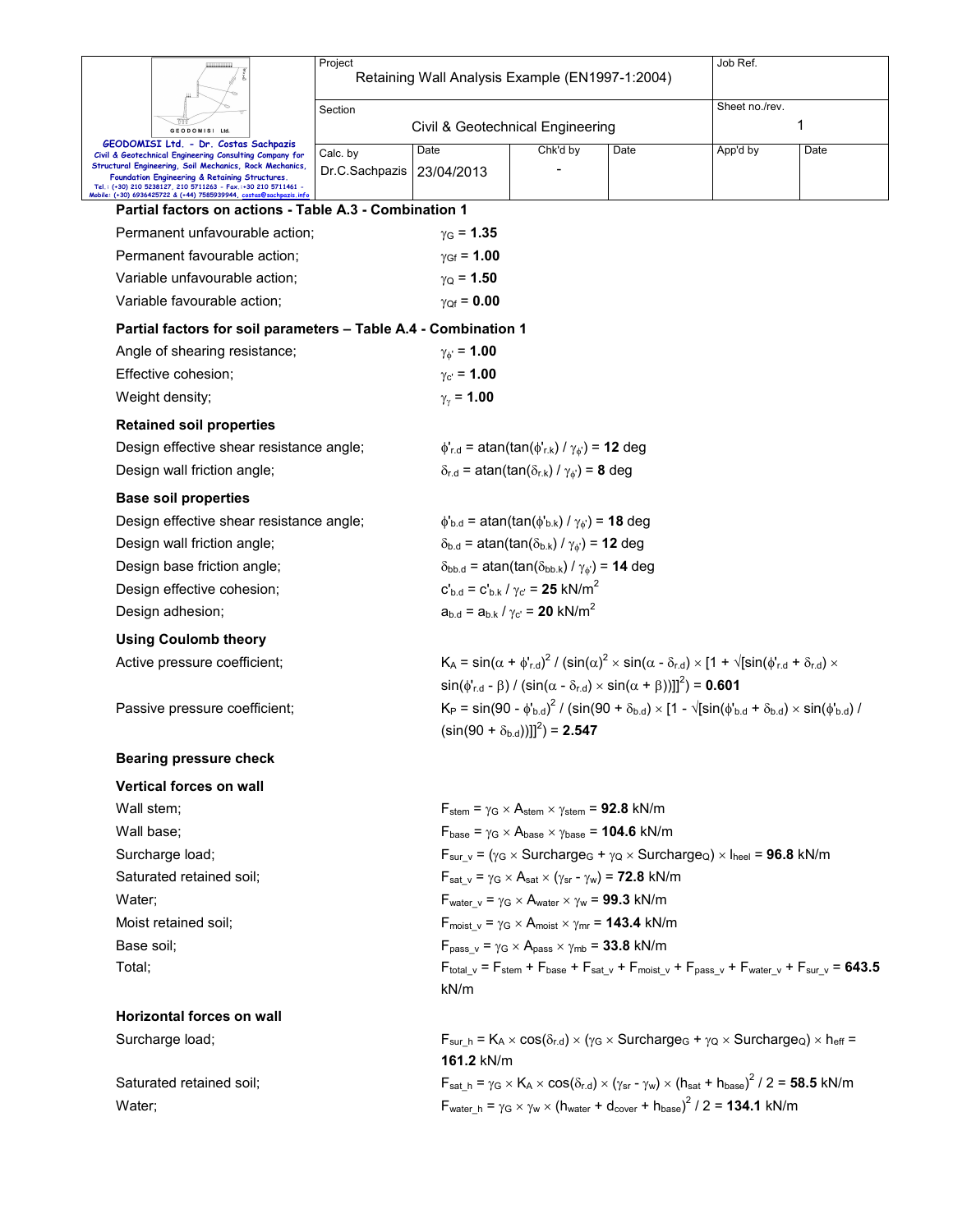|                                                                                                                                            | Project                                                                                                                                          |                                                                                                                                    |                                                                                                                                                      |      | Job Ref.                                                                                                                                  |      |  |  |
|--------------------------------------------------------------------------------------------------------------------------------------------|--------------------------------------------------------------------------------------------------------------------------------------------------|------------------------------------------------------------------------------------------------------------------------------------|------------------------------------------------------------------------------------------------------------------------------------------------------|------|-------------------------------------------------------------------------------------------------------------------------------------------|------|--|--|
|                                                                                                                                            | Retaining Wall Analysis Example (EN1997-1:2004)                                                                                                  |                                                                                                                                    |                                                                                                                                                      |      |                                                                                                                                           |      |  |  |
|                                                                                                                                            | Section                                                                                                                                          |                                                                                                                                    |                                                                                                                                                      |      | Sheet no./rev.                                                                                                                            |      |  |  |
| GEODOMISI Ltd<br>GEODOMISI Ltd. - Dr. Costas Sachpazis                                                                                     |                                                                                                                                                  | Civil & Geotechnical Engineering                                                                                                   |                                                                                                                                                      |      |                                                                                                                                           | 1    |  |  |
| Civil & Geotechnical Engineering Consulting Company for<br>Structural Engineering, Soil Mechanics, Rock Mechanics,                         | Calc. by                                                                                                                                         | Date                                                                                                                               | Chk'd by                                                                                                                                             | Date | App'd by                                                                                                                                  | Date |  |  |
| Foundation Engineering & Retaining Structures.<br>Tel.: (+30) 210 5238127, 210 5711263 - Fax.:+30 210 5711461 -                            | Dr.C.Sachpazis                                                                                                                                   | 23/04/2013                                                                                                                         |                                                                                                                                                      |      |                                                                                                                                           |      |  |  |
| Mobile: (+30) 6936425722 & (+44) 7585939944, costas@sachpazis.inf<br>Partial factors on actions - Table A.3 - Combination 1                |                                                                                                                                                  |                                                                                                                                    |                                                                                                                                                      |      |                                                                                                                                           |      |  |  |
| Permanent unfavourable action:                                                                                                             |                                                                                                                                                  | $y_{G} = 1.35$                                                                                                                     |                                                                                                                                                      |      |                                                                                                                                           |      |  |  |
| Permanent favourable action;                                                                                                               |                                                                                                                                                  | $\gamma_{\rm Gf} = 1.00$                                                                                                           |                                                                                                                                                      |      |                                                                                                                                           |      |  |  |
| Variable unfavourable action:                                                                                                              | $\gamma_{\rm Q}$ = 1.50                                                                                                                          |                                                                                                                                    |                                                                                                                                                      |      |                                                                                                                                           |      |  |  |
| Variable favourable action;<br>$\gamma_{\text{Qf}} = 0.00$                                                                                 |                                                                                                                                                  |                                                                                                                                    |                                                                                                                                                      |      |                                                                                                                                           |      |  |  |
| Partial factors for soil parameters - Table A.4 - Combination 1                                                                            |                                                                                                                                                  |                                                                                                                                    |                                                                                                                                                      |      |                                                                                                                                           |      |  |  |
| Angle of shearing resistance;                                                                                                              |                                                                                                                                                  | $\gamma_{\phi} = 1.00$                                                                                                             |                                                                                                                                                      |      |                                                                                                                                           |      |  |  |
| Effective cohesion;                                                                                                                        |                                                                                                                                                  | $y_{c'} = 1.00$                                                                                                                    |                                                                                                                                                      |      |                                                                                                                                           |      |  |  |
| Weight density;                                                                                                                            |                                                                                                                                                  | $\gamma_{\gamma}$ = 1.00                                                                                                           |                                                                                                                                                      |      |                                                                                                                                           |      |  |  |
| <b>Retained soil properties</b>                                                                                                            |                                                                                                                                                  |                                                                                                                                    |                                                                                                                                                      |      |                                                                                                                                           |      |  |  |
| Design effective shear resistance angle;                                                                                                   |                                                                                                                                                  |                                                                                                                                    | $\phi'_{r.d}$ = atan(tan( $\phi'_{r.k}$ ) / $\gamma_{\phi'}$ ) = 12 deg                                                                              |      |                                                                                                                                           |      |  |  |
| Design wall friction angle;                                                                                                                |                                                                                                                                                  |                                                                                                                                    | $\delta_{r.d}$ = atan(tan( $\delta_{r.k}$ ) / $\gamma_{\phi}$ ) = 8 deg                                                                              |      |                                                                                                                                           |      |  |  |
| <b>Base soil properties</b>                                                                                                                |                                                                                                                                                  |                                                                                                                                    |                                                                                                                                                      |      |                                                                                                                                           |      |  |  |
| Design effective shear resistance angle;                                                                                                   |                                                                                                                                                  | $\phi_{\rm b.d}$ = atan(tan( $\phi_{\rm b.k}$ ) / $\gamma_{\phi}$ ) = 18 deg                                                       |                                                                                                                                                      |      |                                                                                                                                           |      |  |  |
| Design wall friction angle;                                                                                                                |                                                                                                                                                  |                                                                                                                                    | $\delta_{b.d}$ = atan(tan( $\delta_{b.k}$ ) / $\gamma_{\phi}$ ) = 12 deg                                                                             |      |                                                                                                                                           |      |  |  |
| Design base friction angle;                                                                                                                |                                                                                                                                                  | $\delta_{\text{bb.d}}$ = atan(tan( $\delta_{\text{bb.k}}$ ) / $\gamma_{\phi}$ ) = 14 deg                                           |                                                                                                                                                      |      |                                                                                                                                           |      |  |  |
| $c'_{\rm bd} = c'_{\rm bk} / \gamma_{\rm c} = 25 \text{ kN/m}^2$<br>Design effective cohesion;                                             |                                                                                                                                                  |                                                                                                                                    |                                                                                                                                                      |      |                                                                                                                                           |      |  |  |
| Design adhesion;                                                                                                                           | $a_{b,d} = a_{b,k} / \gamma_{c'} = 20 \text{ kN/m}^2$                                                                                            |                                                                                                                                    |                                                                                                                                                      |      |                                                                                                                                           |      |  |  |
| <b>Using Coulomb theory</b>                                                                                                                |                                                                                                                                                  |                                                                                                                                    |                                                                                                                                                      |      |                                                                                                                                           |      |  |  |
| Active pressure coefficient;                                                                                                               |                                                                                                                                                  |                                                                                                                                    | $K_A = \sin(\alpha + \phi'_{rad})^2 / (\sin(\alpha)^2 \times \sin(\alpha - \delta_{rad}) \times [1 + \sqrt{[\sin(\phi'_{rad} + \delta_{rad}) \times$ |      |                                                                                                                                           |      |  |  |
|                                                                                                                                            |                                                                                                                                                  |                                                                                                                                    | $\sin(\phi_{r,d} - \beta)$ / $(\sin(\alpha - \delta_{r,d}) \times \sin(\alpha + \beta))]^{2}$ = 0.601                                                |      |                                                                                                                                           |      |  |  |
| Passive pressure coefficient;                                                                                                              |                                                                                                                                                  |                                                                                                                                    | $K_P = \sin(90 - \phi_{b,d})^2 / (\sin(90 + \delta_{b,d}) \times [1 - \sqrt{\sin(\phi_{b,d} + \delta_{b,d})} \times \sin(\phi_{b,d}) /$              |      |                                                                                                                                           |      |  |  |
|                                                                                                                                            |                                                                                                                                                  |                                                                                                                                    | $(\sin(90 + \delta_{b,d}))$ ] <sup>2</sup> $) = 2.547$                                                                                               |      |                                                                                                                                           |      |  |  |
| <b>Bearing pressure check</b>                                                                                                              |                                                                                                                                                  |                                                                                                                                    |                                                                                                                                                      |      |                                                                                                                                           |      |  |  |
| <b>Vertical forces on wall</b>                                                                                                             |                                                                                                                                                  |                                                                                                                                    |                                                                                                                                                      |      |                                                                                                                                           |      |  |  |
| Wall stem;                                                                                                                                 |                                                                                                                                                  |                                                                                                                                    | $F_{stem} = \gamma_G \times A_{stem} \times \gamma_{stem} = 92.8$ kN/m                                                                               |      |                                                                                                                                           |      |  |  |
| Wall base;                                                                                                                                 |                                                                                                                                                  |                                                                                                                                    | $F_{\text{base}} = \gamma_G \times A_{\text{base}} \times \gamma_{\text{base}} = 104.6 \text{ kN/m}$                                                 |      |                                                                                                                                           |      |  |  |
| Surcharge load;                                                                                                                            | $F_{sur v} = (\gamma_G \times$ Surcharge <sub>G</sub> + $\gamma_Q \times$ Surcharge <sub>Q</sub> ) $\times$ I <sub>heel</sub> = <b>96.8</b> kN/m |                                                                                                                                    |                                                                                                                                                      |      |                                                                                                                                           |      |  |  |
| Saturated retained soil;<br>$F_{\text{sat_v}} = \gamma_G \times A_{\text{sat}} \times (\gamma_{\text{sr}} - \gamma_w) = 72.8 \text{ kN/m}$ |                                                                                                                                                  |                                                                                                                                    |                                                                                                                                                      |      |                                                                                                                                           |      |  |  |
| Water:                                                                                                                                     | $F_{water\ v} = \gamma_G \times A_{water} \times \gamma_w = 99.3 \text{ kN/m}$                                                                   |                                                                                                                                    |                                                                                                                                                      |      |                                                                                                                                           |      |  |  |
| Moist retained soil:                                                                                                                       | $F_{\text{moist v}} = \gamma_G \times A_{\text{moist}} \times \gamma_{\text{mr}} = 143.4 \text{ kN/m}$                                           |                                                                                                                                    |                                                                                                                                                      |      |                                                                                                                                           |      |  |  |
| Base soil:                                                                                                                                 | $F_{pass v} = \gamma_G \times A_{pass} \times \gamma_{mb} = 33.8$ kN/m                                                                           |                                                                                                                                    |                                                                                                                                                      |      |                                                                                                                                           |      |  |  |
| Total;                                                                                                                                     |                                                                                                                                                  | $F_{total_v}$ = $F_{stem}$ + $F_{base}$ + $F_{sat_v}$ + $F_{moist_v}$ + $F_{pass_v}$ + $F_{water_v}$ + $F_{sur_v}$ = 643.5<br>kN/m |                                                                                                                                                      |      |                                                                                                                                           |      |  |  |
| <b>Horizontal forces on wall</b>                                                                                                           |                                                                                                                                                  |                                                                                                                                    |                                                                                                                                                      |      |                                                                                                                                           |      |  |  |
| Surcharge load;                                                                                                                            |                                                                                                                                                  | 161.2 kN/m                                                                                                                         |                                                                                                                                                      |      | $F_{sur_h} = K_A \times cos(\delta_{r.d}) \times (\gamma_G \times Surcharge_G + \gamma_Q \times Surcharge_Q) \times h_{eff} =$            |      |  |  |
| Saturated retained soil;                                                                                                                   |                                                                                                                                                  |                                                                                                                                    |                                                                                                                                                      |      | $F_{sat\_h} = \gamma_G \times K_A \times cos(\delta_{r.d}) \times (\gamma_{sr} - \gamma_w) \times (h_{sat} + h_{base})^2 / 2 = 58.5$ kN/m |      |  |  |

Water;  $\mathsf{F}_{\mathsf{water\_h}} = \gamma_{\mathsf{G}} \times \gamma_{\mathsf{w}} \times (\mathsf{h}_{\mathsf{water}} + \mathsf{d}_{\mathsf{cover}} + \mathsf{h}_{\mathsf{base}})^2 / 2 = 134.1 \text{ kN/m}$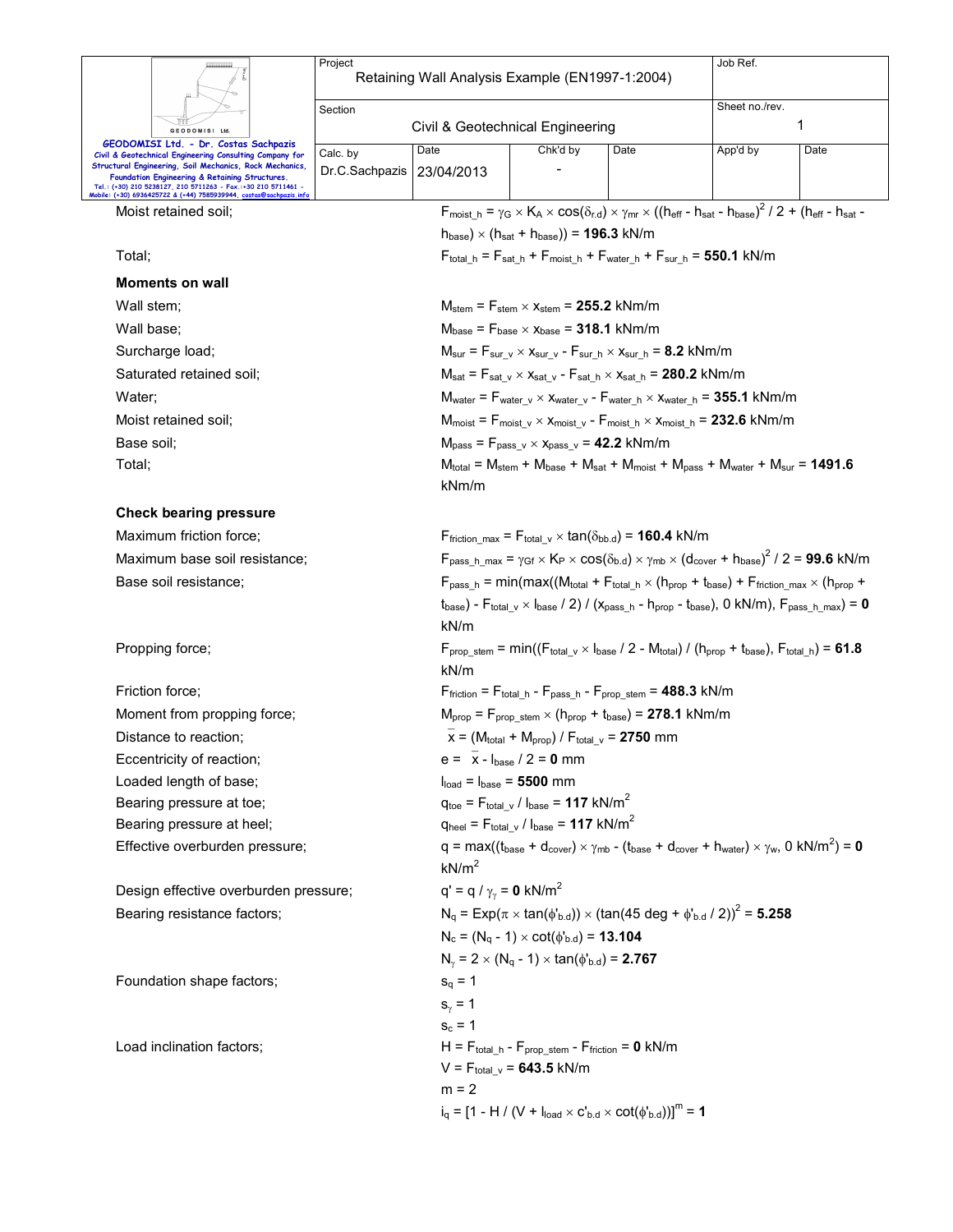|                                                                                                                                                                                                                              | Project                                                       | Retaining Wall Analysis Example (EN1997-1:2004)                                                                                       |                                                                                                                                                                                                                                                                                                            |      | Job Ref.                                                                                                                                                                                                                |      |  |  |
|------------------------------------------------------------------------------------------------------------------------------------------------------------------------------------------------------------------------------|---------------------------------------------------------------|---------------------------------------------------------------------------------------------------------------------------------------|------------------------------------------------------------------------------------------------------------------------------------------------------------------------------------------------------------------------------------------------------------------------------------------------------------|------|-------------------------------------------------------------------------------------------------------------------------------------------------------------------------------------------------------------------------|------|--|--|
|                                                                                                                                                                                                                              |                                                               |                                                                                                                                       |                                                                                                                                                                                                                                                                                                            |      | Sheet no./rev.                                                                                                                                                                                                          |      |  |  |
|                                                                                                                                                                                                                              | Section<br>Civil & Geotechnical Engineering<br>GEODOMISI Ltd. |                                                                                                                                       |                                                                                                                                                                                                                                                                                                            |      |                                                                                                                                                                                                                         | 1    |  |  |
| GEODOMISI Ltd. - Dr. Costas Sachpazis<br>Civil & Geotechnical Engineering Consulting Company for                                                                                                                             | Calc. by                                                      | Date                                                                                                                                  | Chk'd by                                                                                                                                                                                                                                                                                                   | Date | App'd by                                                                                                                                                                                                                | Date |  |  |
| Structural Engineering, Soil Mechanics, Rock Mechanics,<br>Foundation Engineering & Retaining Structures.<br>Tel.: (+30) 210 5238127, 210 5711263 - Fax.:+30 210 5711461 -<br>Mobile: (+30) 6936425722 & (+44) 7585939944, c | Dr.C.Sachpazis                                                | 23/04/2013                                                                                                                            |                                                                                                                                                                                                                                                                                                            |      |                                                                                                                                                                                                                         |      |  |  |
| Moist retained soil;                                                                                                                                                                                                         |                                                               |                                                                                                                                       |                                                                                                                                                                                                                                                                                                            |      | $F_{\text{moist h}} = \gamma_G \times K_A \times \cos(\delta_{r,d}) \times \gamma_{\text{mr}} \times ((h_{\text{eff}} - h_{\text{sat}} - h_{\text{base}})^2 / 2 + (h_{\text{eff}} - h_{\text{sat}} - h_{\text{right}})$ |      |  |  |
|                                                                                                                                                                                                                              |                                                               |                                                                                                                                       | $h_{base}$ ) × ( $h_{sat}$ + $h_{base}$ )) = 196.3 kN/m                                                                                                                                                                                                                                                    |      |                                                                                                                                                                                                                         |      |  |  |
| Total;                                                                                                                                                                                                                       |                                                               |                                                                                                                                       |                                                                                                                                                                                                                                                                                                            |      | $F_{\text{total\_h}} = F_{\text{sat\_h}} + F_{\text{moist\_h}} + F_{\text{water\_h}} + F_{\text{sur\_h}} = 550.1 \text{ kN/m}$                                                                                          |      |  |  |
| <b>Moments on wall</b>                                                                                                                                                                                                       |                                                               |                                                                                                                                       |                                                                                                                                                                                                                                                                                                            |      |                                                                                                                                                                                                                         |      |  |  |
| Wall stem;                                                                                                                                                                                                                   |                                                               |                                                                                                                                       | $M_{stem}$ = $F_{stem}$ $\times$ $x_{stem}$ = 255.2 kNm/m                                                                                                                                                                                                                                                  |      |                                                                                                                                                                                                                         |      |  |  |
| Wall base;                                                                                                                                                                                                                   |                                                               |                                                                                                                                       | $M_{base}$ = $F_{base} \times X_{base}$ = 318.1 kNm/m                                                                                                                                                                                                                                                      |      |                                                                                                                                                                                                                         |      |  |  |
| Surcharge load;                                                                                                                                                                                                              |                                                               |                                                                                                                                       | $M_{\text{sur}} = F_{\text{sur v}} \times x_{\text{sur v}} - F_{\text{sur h}} \times x_{\text{sur h}} = 8.2 \text{ kNm/m}$                                                                                                                                                                                 |      |                                                                                                                                                                                                                         |      |  |  |
| Saturated retained soil;                                                                                                                                                                                                     |                                                               |                                                                                                                                       | $M_{sat}$ = $F_{sat}$ $_v \times x_{sat}$ $_v$ - $F_{sat}$ $_h \times x_{sat}$ $_h$ = 280.2 kNm/m                                                                                                                                                                                                          |      |                                                                                                                                                                                                                         |      |  |  |
| Water:                                                                                                                                                                                                                       |                                                               |                                                                                                                                       |                                                                                                                                                                                                                                                                                                            |      | $M_{water} = F_{water}$ $_v \times X_{water}$ $_v$ - $F_{water}$ $_h \times X_{water}$ $_h = 355.1$ kNm/m                                                                                                               |      |  |  |
| Moist retained soil:                                                                                                                                                                                                         |                                                               |                                                                                                                                       |                                                                                                                                                                                                                                                                                                            |      | $M_{\text{moist}} = F_{\text{moist\_v}} \times x_{\text{moist\_v}} - F_{\text{moist\_h}} \times x_{\text{moist\_h}} = 232.6 \text{ kNm/m}$                                                                              |      |  |  |
| Base soil;                                                                                                                                                                                                                   |                                                               |                                                                                                                                       |                                                                                                                                                                                                                                                                                                            |      |                                                                                                                                                                                                                         |      |  |  |
| Total;                                                                                                                                                                                                                       |                                                               | kNm/m                                                                                                                                 | $M_{pass}$ = $F_{pass \text{v}} \times x_{pass \text{v}}$ = 42.2 kNm/m<br>$M_{\text{total}} = M_{\text{stem}} + M_{\text{base}} + M_{\text{sat}} + M_{\text{moist}} + M_{\text{pass}} + M_{\text{water}} + M_{\text{sur}} = 1491.6$                                                                        |      |                                                                                                                                                                                                                         |      |  |  |
| <b>Check bearing pressure</b>                                                                                                                                                                                                |                                                               |                                                                                                                                       |                                                                                                                                                                                                                                                                                                            |      |                                                                                                                                                                                                                         |      |  |  |
| Maximum friction force;                                                                                                                                                                                                      |                                                               |                                                                                                                                       | $F_{\text{friction max}} = F_{\text{total v}} \times \tan(\delta_{\text{bb.d}}) = 160.4 \text{ kN/m}$                                                                                                                                                                                                      |      |                                                                                                                                                                                                                         |      |  |  |
| Maximum base soil resistance;                                                                                                                                                                                                |                                                               |                                                                                                                                       |                                                                                                                                                                                                                                                                                                            |      |                                                                                                                                                                                                                         |      |  |  |
| Base soil resistance;                                                                                                                                                                                                        |                                                               |                                                                                                                                       | $F_{pass\_h\_max} = \gamma_{Gf} \times K_P \times cos(\delta_{b.d}) \times \gamma_{mb} \times (d_{cover} + h_{base})^2 / 2 = 99.6$ kN/m<br>$F_{pass h}$ = min(max((M <sub>total</sub> + F <sub>total h</sub> × (h <sub>prop</sub> + t <sub>base</sub> ) + F <sub>friction</sub> max × (h <sub>prop</sub> + |      |                                                                                                                                                                                                                         |      |  |  |
|                                                                                                                                                                                                                              |                                                               | $t_{base}$ ) - $F_{total_v} \times I_{base}$ / 2) / ( $x_{pass_h}$ - $h_{prop}$ - $t_{base}$ ), 0 kN/m), $F_{pass_h_max}$ = 0<br>kN/m |                                                                                                                                                                                                                                                                                                            |      |                                                                                                                                                                                                                         |      |  |  |
| Propping force;                                                                                                                                                                                                              |                                                               | kN/m                                                                                                                                  |                                                                                                                                                                                                                                                                                                            |      | $F_{\text{prop stem}} = \min((F_{\text{total v}} \times I_{\text{base}} / 2 - M_{\text{total}}) / (h_{\text{prop}} + t_{\text{base}}), F_{\text{total h}}) = 61.8$                                                      |      |  |  |
| Friction force:                                                                                                                                                                                                              |                                                               |                                                                                                                                       | $F_{\text{friction}} = F_{\text{total h}} - F_{\text{pass h}} - F_{\text{prop stem}} = 488.3 \text{ kN/m}$                                                                                                                                                                                                 |      |                                                                                                                                                                                                                         |      |  |  |
| Moment from propping force;                                                                                                                                                                                                  |                                                               |                                                                                                                                       | $M_{\text{prop}} = F_{\text{prop stem}} \times (h_{\text{prop}} + t_{\text{base}}) = 278.1 \text{ kNm/m}$                                                                                                                                                                                                  |      |                                                                                                                                                                                                                         |      |  |  |
| Distance to reaction:                                                                                                                                                                                                        |                                                               |                                                                                                                                       | $x = (M_{total} + M_{prop}) / F_{total}$ v = 2750 mm                                                                                                                                                                                                                                                       |      |                                                                                                                                                                                                                         |      |  |  |
| Eccentricity of reaction;                                                                                                                                                                                                    |                                                               |                                                                                                                                       | $e = \bar{x} - I_{base} / 2 = 0$ mm                                                                                                                                                                                                                                                                        |      |                                                                                                                                                                                                                         |      |  |  |
| Loaded length of base;                                                                                                                                                                                                       |                                                               | $Iload = Ibase = 5500 mm$                                                                                                             |                                                                                                                                                                                                                                                                                                            |      |                                                                                                                                                                                                                         |      |  |  |
| Bearing pressure at toe;                                                                                                                                                                                                     |                                                               |                                                                                                                                       | $q_{\text{toe}} = F_{\text{total} \ v} / I_{\text{base}} = 117 \ \text{kN/m}^2$                                                                                                                                                                                                                            |      |                                                                                                                                                                                                                         |      |  |  |
| Bearing pressure at heel;                                                                                                                                                                                                    |                                                               |                                                                                                                                       | $q_{\text{heel}} = F_{\text{total} \text{v}} / I_{\text{base}} = 117 \text{ kN/m}^2$                                                                                                                                                                                                                       |      |                                                                                                                                                                                                                         |      |  |  |
| Effective overburden pressure;                                                                                                                                                                                               |                                                               | kN/m <sup>2</sup>                                                                                                                     |                                                                                                                                                                                                                                                                                                            |      | $q = max((t_{base} + d_{cover}) \times \gamma_{mb} - (t_{base} + d_{cover} + h_{water}) \times \gamma_w, 0 kN/m^2) = 0$                                                                                                 |      |  |  |
| Design effective overburden pressure;                                                                                                                                                                                        |                                                               | $q' = q / \gamma_{\gamma} = 0$ kN/m <sup>2</sup>                                                                                      |                                                                                                                                                                                                                                                                                                            |      |                                                                                                                                                                                                                         |      |  |  |
| Bearing resistance factors;                                                                                                                                                                                                  |                                                               |                                                                                                                                       |                                                                                                                                                                                                                                                                                                            |      | $N_q = Exp(\pi \times tan(\phi'_{b.d})) \times (tan(45 deg + \phi'_{b.d}/2))^2 = 5.258$                                                                                                                                 |      |  |  |
|                                                                                                                                                                                                                              |                                                               |                                                                                                                                       | $N_c = (N_q - 1) \times \cot(\phi_{b.d}) = 13.104$                                                                                                                                                                                                                                                         |      |                                                                                                                                                                                                                         |      |  |  |
|                                                                                                                                                                                                                              |                                                               |                                                                                                                                       | $N_{\gamma}$ = 2 $\times$ (N <sub>q</sub> - 1) $\times$ tan( $\phi$ <sup>1</sup> <sub>b.d</sub> ) = <b>2.767</b>                                                                                                                                                                                           |      |                                                                                                                                                                                                                         |      |  |  |
| Foundation shape factors;                                                                                                                                                                                                    |                                                               | $s_q = 1$                                                                                                                             |                                                                                                                                                                                                                                                                                                            |      |                                                                                                                                                                                                                         |      |  |  |
|                                                                                                                                                                                                                              |                                                               | $s_{\gamma} = 1$                                                                                                                      |                                                                                                                                                                                                                                                                                                            |      |                                                                                                                                                                                                                         |      |  |  |
|                                                                                                                                                                                                                              |                                                               | $s_c = 1$                                                                                                                             |                                                                                                                                                                                                                                                                                                            |      |                                                                                                                                                                                                                         |      |  |  |
| Load inclination factors;                                                                                                                                                                                                    |                                                               |                                                                                                                                       | $H = F_{total_h} - F_{prop\_stem} - F_{friction} = 0$ kN/m<br>$V = F_{total}$ <sub>v</sub> = 643.5 kN/m                                                                                                                                                                                                    |      |                                                                                                                                                                                                                         |      |  |  |
|                                                                                                                                                                                                                              |                                                               | $m = 2$                                                                                                                               |                                                                                                                                                                                                                                                                                                            |      |                                                                                                                                                                                                                         |      |  |  |
|                                                                                                                                                                                                                              |                                                               |                                                                                                                                       | $i_q = [1 - H / (V + I_{load} \times C_{b.d} \times \cot(\phi_{b.d}))]^m = 1$                                                                                                                                                                                                                              |      |                                                                                                                                                                                                                         |      |  |  |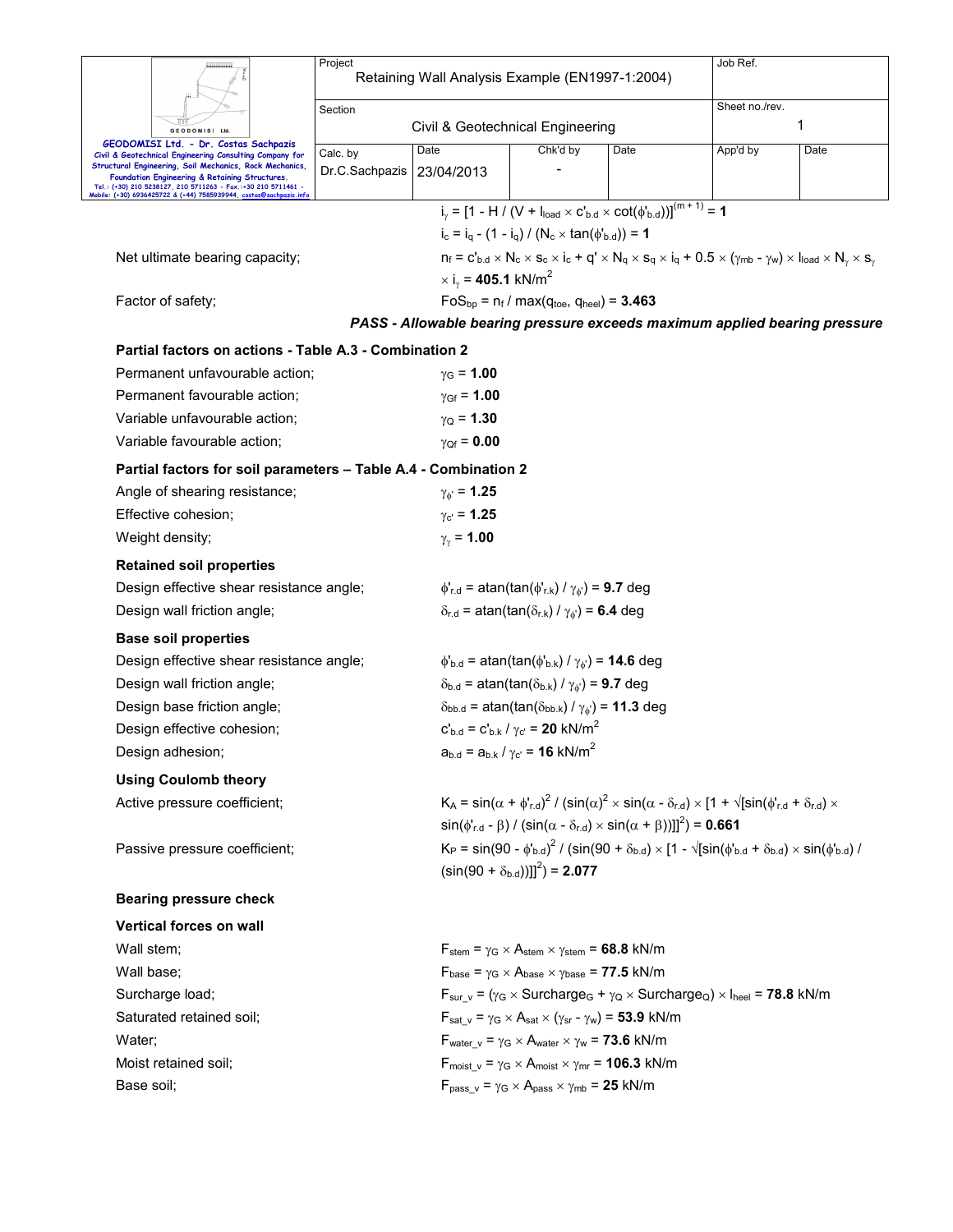|                               |                                                                                                                                                                            | Project                                                                                                                                                            |                                  |                                                                                                                    |                                                                                                       | Job Ref.                                                                                                                                                                          |                                                                            |  |  |  |
|-------------------------------|----------------------------------------------------------------------------------------------------------------------------------------------------------------------------|--------------------------------------------------------------------------------------------------------------------------------------------------------------------|----------------------------------|--------------------------------------------------------------------------------------------------------------------|-------------------------------------------------------------------------------------------------------|-----------------------------------------------------------------------------------------------------------------------------------------------------------------------------------|----------------------------------------------------------------------------|--|--|--|
|                               |                                                                                                                                                                            | Retaining Wall Analysis Example (EN1997-1:2004)                                                                                                                    |                                  |                                                                                                                    |                                                                                                       |                                                                                                                                                                                   |                                                                            |  |  |  |
| Section                       |                                                                                                                                                                            |                                                                                                                                                                    |                                  |                                                                                                                    | Sheet no./rev.                                                                                        |                                                                                                                                                                                   |                                                                            |  |  |  |
|                               | <b>GEODOMISI</b><br>Ltd                                                                                                                                                    |                                                                                                                                                                    | Civil & Geotechnical Engineering |                                                                                                                    |                                                                                                       |                                                                                                                                                                                   | 1                                                                          |  |  |  |
|                               | GEODOMISI Ltd. - Dr. Costas Sachpazis<br>Civil & Geotechnical Engineering Consulting Company for                                                                           | Calc. by                                                                                                                                                           | Date                             | Chk'd by                                                                                                           | Date                                                                                                  | App'd by                                                                                                                                                                          | Date                                                                       |  |  |  |
|                               | Structural Engineering, Soil Mechanics, Rock Mechanics,<br>Foundation Engineering & Retaining Structures.<br>Tel.: (+30) 210 5238127, 210 5711263 - Fax.:+30 210 5711461 - | Dr.C.Sachpazis                                                                                                                                                     | 23/04/2013                       |                                                                                                                    |                                                                                                       |                                                                                                                                                                                   |                                                                            |  |  |  |
|                               | Mobile: (+30) 6936425722 & (+44) 7585939944, <u>costas@sachpazis.</u> i                                                                                                    |                                                                                                                                                                    |                                  |                                                                                                                    | $i_y = [1 - H / (V + I_{load} \times C_{b.d} \times \cot(\phi_{b.d}))]^{(m+1)} = 1$                   |                                                                                                                                                                                   |                                                                            |  |  |  |
|                               |                                                                                                                                                                            |                                                                                                                                                                    |                                  | $i_c = i_q - (1 - i_q) / (N_c \times tan(\phi_{b.d})) = 1$                                                         |                                                                                                       |                                                                                                                                                                                   |                                                                            |  |  |  |
|                               | Net ultimate bearing capacity;                                                                                                                                             |                                                                                                                                                                    |                                  |                                                                                                                    |                                                                                                       | $n_f = c'_{b.d} \times N_c \times s_c \times i_c + q' \times N_q \times s_q \times i_q + 0.5 \times (\gamma_{mb} - \gamma_w) \times I_{load} \times N_{\gamma} \times s_{\gamma}$ |                                                                            |  |  |  |
|                               |                                                                                                                                                                            |                                                                                                                                                                    |                                  | $\times$ i <sub>v</sub> = 405.1 kN/m <sup>2</sup>                                                                  |                                                                                                       |                                                                                                                                                                                   |                                                                            |  |  |  |
| Factor of safety;             |                                                                                                                                                                            |                                                                                                                                                                    |                                  | $FoS_{bp} = n_f / max(q_{toe}, q_{heel}) = 3.463$                                                                  |                                                                                                       |                                                                                                                                                                                   |                                                                            |  |  |  |
|                               |                                                                                                                                                                            |                                                                                                                                                                    |                                  |                                                                                                                    |                                                                                                       |                                                                                                                                                                                   | PASS - Allowable bearing pressure exceeds maximum applied bearing pressure |  |  |  |
|                               | Partial factors on actions - Table A.3 - Combination 2                                                                                                                     |                                                                                                                                                                    |                                  |                                                                                                                    |                                                                                                       |                                                                                                                                                                                   |                                                                            |  |  |  |
|                               | Permanent unfavourable action;                                                                                                                                             |                                                                                                                                                                    | $\gamma$ <sub>G</sub> = 1.00     |                                                                                                                    |                                                                                                       |                                                                                                                                                                                   |                                                                            |  |  |  |
|                               | Permanent favourable action;                                                                                                                                               |                                                                                                                                                                    | $y_{Gf} = 1.00$                  |                                                                                                                    |                                                                                                       |                                                                                                                                                                                   |                                                                            |  |  |  |
|                               | Variable unfavourable action;                                                                                                                                              |                                                                                                                                                                    | $\gamma_{\rm Q}$ = 1.30          |                                                                                                                    |                                                                                                       |                                                                                                                                                                                   |                                                                            |  |  |  |
|                               | Variable favourable action;                                                                                                                                                |                                                                                                                                                                    | $\gamma_{Qf} = 0.00$             |                                                                                                                    |                                                                                                       |                                                                                                                                                                                   |                                                                            |  |  |  |
|                               | Partial factors for soil parameters - Table A.4 - Combination 2                                                                                                            |                                                                                                                                                                    |                                  |                                                                                                                    |                                                                                                       |                                                                                                                                                                                   |                                                                            |  |  |  |
|                               | Angle of shearing resistance;                                                                                                                                              |                                                                                                                                                                    | $\gamma_{\phi} = 1.25$           |                                                                                                                    |                                                                                                       |                                                                                                                                                                                   |                                                                            |  |  |  |
|                               | Effective cohesion;                                                                                                                                                        |                                                                                                                                                                    | $\gamma_{\rm C} = 1.25$          |                                                                                                                    |                                                                                                       |                                                                                                                                                                                   |                                                                            |  |  |  |
| Weight density;               |                                                                                                                                                                            |                                                                                                                                                                    | $\gamma_{\gamma}$ = 1.00         |                                                                                                                    |                                                                                                       |                                                                                                                                                                                   |                                                                            |  |  |  |
|                               | <b>Retained soil properties</b>                                                                                                                                            |                                                                                                                                                                    |                                  |                                                                                                                    |                                                                                                       |                                                                                                                                                                                   |                                                                            |  |  |  |
|                               | Design effective shear resistance angle;                                                                                                                                   |                                                                                                                                                                    |                                  | $\phi'_{r.d}$ = atan(tan( $\phi'_{r.k}$ ) / $\gamma_{\phi'}$ ) = 9.7 deg                                           |                                                                                                       |                                                                                                                                                                                   |                                                                            |  |  |  |
|                               | Design wall friction angle;                                                                                                                                                |                                                                                                                                                                    |                                  | $\delta_{r.d}$ = atan(tan( $\delta_{r.k}$ ) / $\gamma_{\phi}$ ) = 6.4 deg                                          |                                                                                                       |                                                                                                                                                                                   |                                                                            |  |  |  |
|                               | <b>Base soil properties</b>                                                                                                                                                |                                                                                                                                                                    |                                  |                                                                                                                    |                                                                                                       |                                                                                                                                                                                   |                                                                            |  |  |  |
|                               | Design effective shear resistance angle;                                                                                                                                   |                                                                                                                                                                    |                                  | $\phi_{b.d}$ = atan(tan( $\phi_{b.k}$ ) / $\gamma_{b'}$ ) = <b>14.6</b> deg                                        |                                                                                                       |                                                                                                                                                                                   |                                                                            |  |  |  |
|                               | Design wall friction angle;                                                                                                                                                |                                                                                                                                                                    |                                  | $\delta_{b.d}$ = atan(tan( $\delta_{b.k}$ ) / $\gamma_{\phi}$ ) = 9.7 deg                                          |                                                                                                       |                                                                                                                                                                                   |                                                                            |  |  |  |
|                               | Design base friction angle;                                                                                                                                                |                                                                                                                                                                    |                                  | $\delta_{\text{bb.d}}$ = atan(tan( $\delta_{\text{bb.k}}$ ) / $\gamma_{\phi}$ ) = 11.3 deg                         |                                                                                                       |                                                                                                                                                                                   |                                                                            |  |  |  |
|                               | Design effective cohesion;                                                                                                                                                 |                                                                                                                                                                    |                                  | $c'_{b,d} = c'_{b,k} / \gamma_c = 20$ kN/m <sup>2</sup>                                                            |                                                                                                       |                                                                                                                                                                                   |                                                                            |  |  |  |
|                               | Design adhesion;                                                                                                                                                           |                                                                                                                                                                    |                                  | $a_{b.d} = a_{b.k} / \gamma_{c'} = 16 \text{ kN/m}^2$                                                              |                                                                                                       |                                                                                                                                                                                   |                                                                            |  |  |  |
|                               | <b>Using Coulomb theory</b>                                                                                                                                                |                                                                                                                                                                    |                                  |                                                                                                                    |                                                                                                       |                                                                                                                                                                                   |                                                                            |  |  |  |
|                               | Active pressure coefficient;                                                                                                                                               |                                                                                                                                                                    |                                  |                                                                                                                    |                                                                                                       | $K_A = \sin(\alpha + \phi'_{rad})^2 / (\sin(\alpha)^2 \times \sin(\alpha - \delta_{rad}) \times [1 + \sqrt{[\sin(\phi'_{rad} + \delta_{rad}) \times$                              |                                                                            |  |  |  |
|                               |                                                                                                                                                                            |                                                                                                                                                                    |                                  |                                                                                                                    | $\sin(\phi_{r,d} - \beta)$ / $(\sin(\alpha - \delta_{r,d}) \times \sin(\alpha + \beta))]^{2}$ = 0.661 |                                                                                                                                                                                   |                                                                            |  |  |  |
| Passive pressure coefficient; |                                                                                                                                                                            | $K_P = \sin(90 - \phi_{b,d}^{\prime})^2 / (\sin(90 + \delta_{b,d}) \times [1 - \sqrt{[\sin(\phi_{b,d}^{\prime} + \delta_{b,d}) \times \sin(\phi_{b,d}^{\prime})}]$ |                                  |                                                                                                                    |                                                                                                       |                                                                                                                                                                                   |                                                                            |  |  |  |
|                               |                                                                                                                                                                            |                                                                                                                                                                    |                                  | $(\sin(90 + \delta_{\text{b.d}}))$ <sup>2</sup> $) = 2.077$                                                        |                                                                                                       |                                                                                                                                                                                   |                                                                            |  |  |  |
|                               | <b>Bearing pressure check</b>                                                                                                                                              |                                                                                                                                                                    |                                  |                                                                                                                    |                                                                                                       |                                                                                                                                                                                   |                                                                            |  |  |  |
|                               | Vertical forces on wall                                                                                                                                                    |                                                                                                                                                                    |                                  |                                                                                                                    |                                                                                                       |                                                                                                                                                                                   |                                                                            |  |  |  |
| Wall stem;                    |                                                                                                                                                                            |                                                                                                                                                                    |                                  | $F_{stem}$ = $\gamma_G \times A_{stem} \times \gamma_{stem}$ = 68.8 kN/m                                           |                                                                                                       |                                                                                                                                                                                   |                                                                            |  |  |  |
| Wall base;                    |                                                                                                                                                                            |                                                                                                                                                                    |                                  | $F_{\text{base}} = \gamma_G \times A_{\text{base}} \times \gamma_{\text{base}} = 77.5 \text{ kN/m}$                |                                                                                                       |                                                                                                                                                                                   |                                                                            |  |  |  |
|                               | Surcharge load;                                                                                                                                                            |                                                                                                                                                                    |                                  |                                                                                                                    |                                                                                                       | $F_{sur v} = (\gamma_G \times \text{Surcharge}_G + \gamma_Q \times \text{Surcharge}_Q) \times I_{\text{heel}} = 78.8 \text{ kN/m}$                                                |                                                                            |  |  |  |
|                               | Saturated retained soil:                                                                                                                                                   |                                                                                                                                                                    |                                  | $F_{\text{sat v}} = \gamma_{G} \times A_{\text{sat}} \times (\gamma_{\text{sr}} - \gamma_{w}) = 53.9 \text{ kN/m}$ |                                                                                                       |                                                                                                                                                                                   |                                                                            |  |  |  |
| Water;                        |                                                                                                                                                                            |                                                                                                                                                                    |                                  | $F_{water \ v} = \gamma_G \times A_{water} \times \gamma_w = 73.6 \text{ kN/m}$                                    |                                                                                                       |                                                                                                                                                                                   |                                                                            |  |  |  |
|                               | Moist retained soil;                                                                                                                                                       |                                                                                                                                                                    |                                  | $F_{\text{moist v}} = \gamma_G \times A_{\text{moist}} \times \gamma_{\text{mr}} = 106.3 \text{ kN/m}$             |                                                                                                       |                                                                                                                                                                                   |                                                                            |  |  |  |
| Base soil;                    |                                                                                                                                                                            |                                                                                                                                                                    |                                  | $F_{pass_v} = \gamma_G \times A_{pass} \times \gamma_{mb} = 25$ kN/m                                               |                                                                                                       |                                                                                                                                                                                   |                                                                            |  |  |  |
|                               |                                                                                                                                                                            |                                                                                                                                                                    |                                  |                                                                                                                    |                                                                                                       |                                                                                                                                                                                   |                                                                            |  |  |  |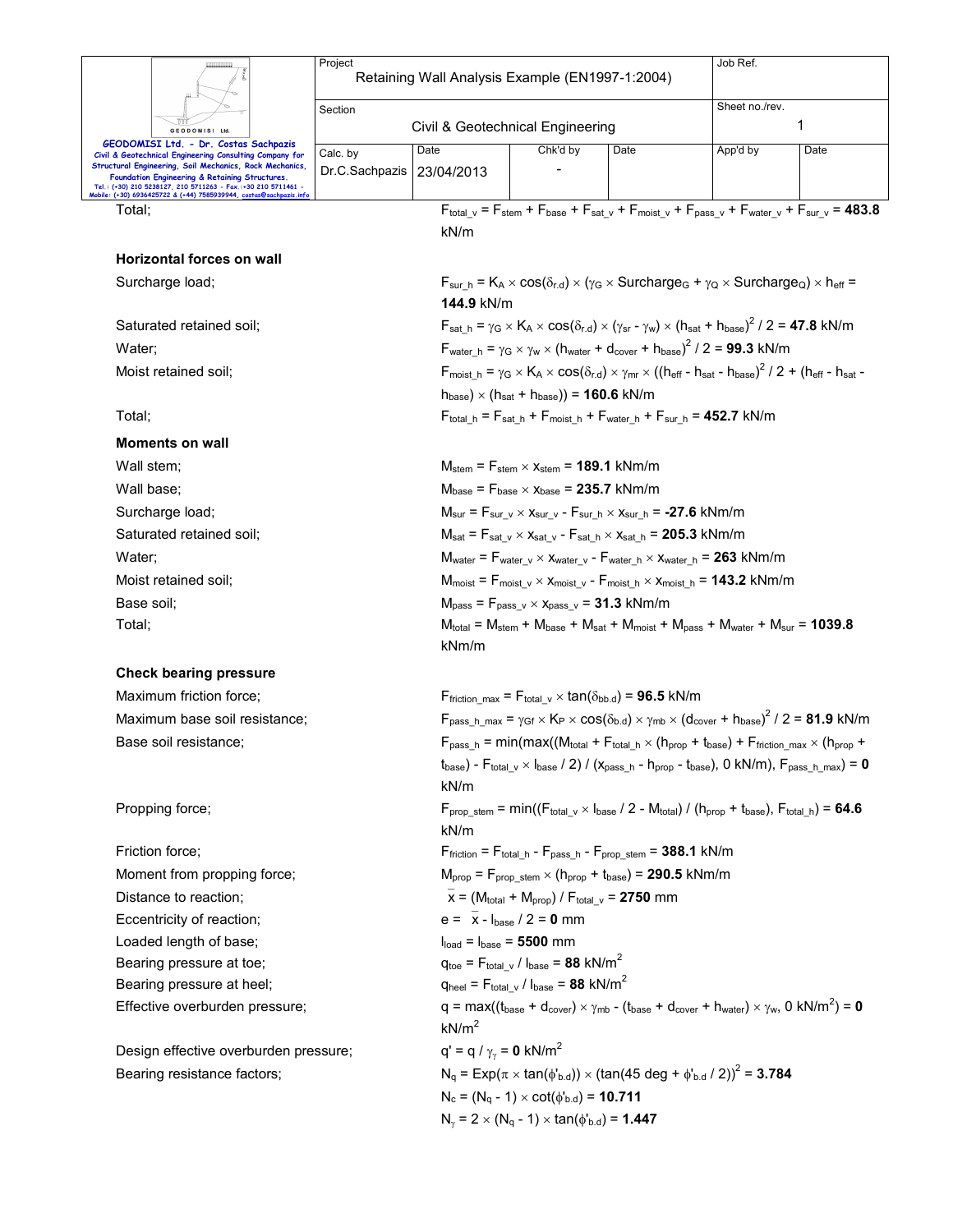|                                                                                                                                                                                                                                     | Project                                                                                                                                    | Retaining Wall Analysis Example (EN1997-1:2004)                                                                                                           |                                                                                                                                                                                                                    |                                                                                                                                              | Job Ref. |                                                                                                                                                                      |  |  |  |
|-------------------------------------------------------------------------------------------------------------------------------------------------------------------------------------------------------------------------------------|--------------------------------------------------------------------------------------------------------------------------------------------|-----------------------------------------------------------------------------------------------------------------------------------------------------------|--------------------------------------------------------------------------------------------------------------------------------------------------------------------------------------------------------------------|----------------------------------------------------------------------------------------------------------------------------------------------|----------|----------------------------------------------------------------------------------------------------------------------------------------------------------------------|--|--|--|
|                                                                                                                                                                                                                                     |                                                                                                                                            |                                                                                                                                                           |                                                                                                                                                                                                                    |                                                                                                                                              |          |                                                                                                                                                                      |  |  |  |
|                                                                                                                                                                                                                                     | Section<br>Civil & Geotechnical Engineering                                                                                                |                                                                                                                                                           |                                                                                                                                                                                                                    |                                                                                                                                              |          | Sheet no./rev.<br>1                                                                                                                                                  |  |  |  |
| GEODOMISI Ltd.<br>GEODOMISI Ltd. - Dr. Costas Sachpazis                                                                                                                                                                             |                                                                                                                                            |                                                                                                                                                           |                                                                                                                                                                                                                    |                                                                                                                                              |          |                                                                                                                                                                      |  |  |  |
| Civil & Geotechnical Engineering Consulting Company for<br>Structural Engineering, Soil Mechanics, Rock Mechanics,<br>Foundation Engineering & Retaining Structures.<br>Tel.: (+30) 210 5238127, 210 5711263 - Fax.:+30 210 5711461 | Calc. by<br>Dr.C.Sachpazis                                                                                                                 | Date<br>23/04/2013                                                                                                                                        | Chk'd by                                                                                                                                                                                                           | Date                                                                                                                                         | App'd by | Date                                                                                                                                                                 |  |  |  |
| Mobile: (+30) 6936425722 & (+44) 7585939944, costas@sachpazis.inf                                                                                                                                                                   |                                                                                                                                            |                                                                                                                                                           |                                                                                                                                                                                                                    |                                                                                                                                              |          | $F_{\text{total v}} = F_{\text{stem}} + F_{\text{base}} + F_{\text{sat v}} + F_{\text{moist v}} + F_{\text{pass v}} + F_{\text{water v}} + F_{\text{sur v}} = 483.8$ |  |  |  |
| Total:                                                                                                                                                                                                                              |                                                                                                                                            | kN/m                                                                                                                                                      |                                                                                                                                                                                                                    |                                                                                                                                              |          |                                                                                                                                                                      |  |  |  |
| <b>Horizontal forces on wall</b>                                                                                                                                                                                                    |                                                                                                                                            |                                                                                                                                                           |                                                                                                                                                                                                                    |                                                                                                                                              |          |                                                                                                                                                                      |  |  |  |
| Surcharge load;                                                                                                                                                                                                                     |                                                                                                                                            |                                                                                                                                                           | $F_{sur\_h} = K_A \times cos(\delta_{r.d}) \times (\gamma_G \times Surcharge_G + \gamma_Q \times Surcharge_Q) \times h_{eff} =$                                                                                    |                                                                                                                                              |          |                                                                                                                                                                      |  |  |  |
|                                                                                                                                                                                                                                     |                                                                                                                                            | 144.9 kN/m                                                                                                                                                |                                                                                                                                                                                                                    |                                                                                                                                              |          |                                                                                                                                                                      |  |  |  |
| Saturated retained soil;                                                                                                                                                                                                            |                                                                                                                                            |                                                                                                                                                           | $F_{\text{sat h}} = \gamma_G \times K_A \times \cos(\delta_{r,d}) \times (\gamma_{\text{sr}} - \gamma_w) \times (h_{\text{sat}} + h_{\text{base}})^2 / 2 = 47.8 \text{ kN/m}$                                      |                                                                                                                                              |          |                                                                                                                                                                      |  |  |  |
| Water;                                                                                                                                                                                                                              |                                                                                                                                            |                                                                                                                                                           | $F_{\text{water h}} = \gamma_G \times \gamma_W \times (h_{\text{water}} + d_{\text{cover}} + h_{\text{base}})^2 / 2 = 99.3 \text{ kN/m}$                                                                           |                                                                                                                                              |          |                                                                                                                                                                      |  |  |  |
| Moist retained soil;                                                                                                                                                                                                                |                                                                                                                                            |                                                                                                                                                           | $F_{\text{moist\_h}} = \gamma_G \times K_A \times \cos(\delta_{r.d}) \times \gamma_{mr} \times ((h_{\text{eff}} - h_{\text{sat}} - h_{\text{base}})^2 / 2 + (h_{\text{eff}} - h_{\text{sat}} - h_{\text{sat}})^2)$ |                                                                                                                                              |          |                                                                                                                                                                      |  |  |  |
|                                                                                                                                                                                                                                     |                                                                                                                                            |                                                                                                                                                           | $h_{base}$ ) × ( $h_{sat}$ + $h_{base}$ )) = 160.6 kN/m                                                                                                                                                            |                                                                                                                                              |          |                                                                                                                                                                      |  |  |  |
| Total;                                                                                                                                                                                                                              |                                                                                                                                            |                                                                                                                                                           | $F_{\text{total h}} = F_{\text{sat h}} + F_{\text{moist h}} + F_{\text{water h}} + F_{\text{sur h}} = 452.7 \text{ kN/m}$                                                                                          |                                                                                                                                              |          |                                                                                                                                                                      |  |  |  |
| <b>Moments on wall</b>                                                                                                                                                                                                              |                                                                                                                                            |                                                                                                                                                           |                                                                                                                                                                                                                    |                                                                                                                                              |          |                                                                                                                                                                      |  |  |  |
| Wall stem;                                                                                                                                                                                                                          |                                                                                                                                            |                                                                                                                                                           | $M_{stem}$ = $F_{stem}$ $\times$ $x_{stem}$ = 189.1 kNm/m                                                                                                                                                          |                                                                                                                                              |          |                                                                                                                                                                      |  |  |  |
| Wall base;                                                                                                                                                                                                                          |                                                                                                                                            |                                                                                                                                                           | $M_{base}$ = $F_{base} \times X_{base}$ = 235.7 kNm/m                                                                                                                                                              |                                                                                                                                              |          |                                                                                                                                                                      |  |  |  |
| Surcharge load;                                                                                                                                                                                                                     | $M_{\text{sur}} = F_{\text{sur v}} \times X_{\text{sur v}} - F_{\text{sur h}} \times X_{\text{sur h}} = -27.6 \text{ kNm/m}$               |                                                                                                                                                           |                                                                                                                                                                                                                    |                                                                                                                                              |          |                                                                                                                                                                      |  |  |  |
| Saturated retained soil;                                                                                                                                                                                                            | $M_{sat}$ = $F_{sat}$ $_v \times x_{sat}$ $_v$ - $F_{sat}$ $_h \times x_{sat}$ $_h$ = 205.3 kNm/m                                          |                                                                                                                                                           |                                                                                                                                                                                                                    |                                                                                                                                              |          |                                                                                                                                                                      |  |  |  |
| Water;                                                                                                                                                                                                                              | $M_{water}$ = $F_{water_v} \times X_{water_v}$ - $F_{water_h} \times X_{water_h}$ = 263 kNm/m                                              |                                                                                                                                                           |                                                                                                                                                                                                                    |                                                                                                                                              |          |                                                                                                                                                                      |  |  |  |
| Moist retained soil;                                                                                                                                                                                                                | $M_{\text{moist}} = F_{\text{moist\_v}} \times x_{\text{moist\_v}} - F_{\text{moist\_h}} \times x_{\text{moist\_h}} = 143.2 \text{ kNm/m}$ |                                                                                                                                                           |                                                                                                                                                                                                                    |                                                                                                                                              |          |                                                                                                                                                                      |  |  |  |
| Base soil:                                                                                                                                                                                                                          |                                                                                                                                            | $Mpass = Fpass v × xpass v = 31.3 kNm/m$                                                                                                                  |                                                                                                                                                                                                                    |                                                                                                                                              |          |                                                                                                                                                                      |  |  |  |
| Total;                                                                                                                                                                                                                              |                                                                                                                                            | $M_{\text{total}} = M_{\text{stem}} + M_{\text{base}} + M_{\text{sat}} + M_{\text{moist}} + M_{\text{pass}} + M_{\text{water}} + M_{\text{sur}} = 1039.8$ |                                                                                                                                                                                                                    |                                                                                                                                              |          |                                                                                                                                                                      |  |  |  |
|                                                                                                                                                                                                                                     |                                                                                                                                            | kNm/m                                                                                                                                                     |                                                                                                                                                                                                                    |                                                                                                                                              |          |                                                                                                                                                                      |  |  |  |
| <b>Check bearing pressure</b>                                                                                                                                                                                                       |                                                                                                                                            |                                                                                                                                                           |                                                                                                                                                                                                                    |                                                                                                                                              |          |                                                                                                                                                                      |  |  |  |
| Maximum friction force;                                                                                                                                                                                                             |                                                                                                                                            |                                                                                                                                                           | Ffriction max = $F_{total}$ v $\times$ tan( $\delta_{bb.d}$ ) = 96.5 kN/m                                                                                                                                          |                                                                                                                                              |          |                                                                                                                                                                      |  |  |  |
| Maximum base soil resistance;                                                                                                                                                                                                       |                                                                                                                                            |                                                                                                                                                           | $F_{pass\_h\_max} = \gamma_{Gf} \times K_P \times cos(\delta_{b.d}) \times \gamma_{mb} \times (d_{cover} + h_{base})^2 / 2 = 81.9$ kN/m                                                                            |                                                                                                                                              |          |                                                                                                                                                                      |  |  |  |
| Base soil resistance:                                                                                                                                                                                                               |                                                                                                                                            |                                                                                                                                                           | $F_{pass\_h}$ = min(max((Mtotal + Ftotal_h × (h <sub>prop</sub> + t <sub>base</sub> ) + Ffriction_max × (h <sub>prop</sub> +                                                                                       |                                                                                                                                              |          |                                                                                                                                                                      |  |  |  |
|                                                                                                                                                                                                                                     |                                                                                                                                            | $t_{base}$ ) - $F_{total_v} \times I_{base}$ / 2) / ( $x_{pass_h}$ - $h_{prop}$ - $t_{base}$ ), 0 kN/m), $F_{pass_h\_max}$ ) = 0                          |                                                                                                                                                                                                                    |                                                                                                                                              |          |                                                                                                                                                                      |  |  |  |
|                                                                                                                                                                                                                                     |                                                                                                                                            | kN/m                                                                                                                                                      |                                                                                                                                                                                                                    |                                                                                                                                              |          |                                                                                                                                                                      |  |  |  |
| Propping force;                                                                                                                                                                                                                     |                                                                                                                                            | kN/m                                                                                                                                                      | $F_{\text{prop stem}} = \min((F_{\text{total v}} \times I_{\text{base}} / 2 - M_{\text{total}}) / (h_{\text{prop}} + t_{\text{base}}), F_{\text{total h}}) = 64.6$                                                 |                                                                                                                                              |          |                                                                                                                                                                      |  |  |  |
| Friction force;                                                                                                                                                                                                                     |                                                                                                                                            |                                                                                                                                                           | $F_{friction} = F_{total\_h} - F_{pass_h} - F_{prop\_stem} = 388.1$ kN/m                                                                                                                                           |                                                                                                                                              |          |                                                                                                                                                                      |  |  |  |
| Moment from propping force;                                                                                                                                                                                                         |                                                                                                                                            |                                                                                                                                                           | $M_{prop}$ = $F_{prop \text{stem}} \times (h_{prop} + t_{base})$ = 290.5 kNm/m                                                                                                                                     |                                                                                                                                              |          |                                                                                                                                                                      |  |  |  |
| Distance to reaction;                                                                                                                                                                                                               | $\bar{x}$ = (M <sub>total</sub> + M <sub>prop</sub> ) / F <sub>total v</sub> = 2750 mm                                                     |                                                                                                                                                           |                                                                                                                                                                                                                    |                                                                                                                                              |          |                                                                                                                                                                      |  |  |  |
| Eccentricity of reaction;                                                                                                                                                                                                           | $e = \bar{x} - I_{base} / 2 = 0$ mm                                                                                                        |                                                                                                                                                           |                                                                                                                                                                                                                    |                                                                                                                                              |          |                                                                                                                                                                      |  |  |  |
| Loaded length of base;                                                                                                                                                                                                              | $Iload = Ibase = 5500 mm$                                                                                                                  |                                                                                                                                                           |                                                                                                                                                                                                                    |                                                                                                                                              |          |                                                                                                                                                                      |  |  |  |
| Bearing pressure at toe;                                                                                                                                                                                                            |                                                                                                                                            |                                                                                                                                                           | $q_{\text{toe}} = F_{\text{total} \text{v}} / I_{\text{base}} = 88 \text{ kN/m}^2$                                                                                                                                 |                                                                                                                                              |          |                                                                                                                                                                      |  |  |  |
| Bearing pressure at heel;                                                                                                                                                                                                           | $q_{\text{heel}} = F_{\text{total} \text{v}} / I_{\text{base}} = 88 \text{ kN/m}^2$                                                        |                                                                                                                                                           |                                                                                                                                                                                                                    |                                                                                                                                              |          |                                                                                                                                                                      |  |  |  |
| Effective overburden pressure;                                                                                                                                                                                                      |                                                                                                                                            |                                                                                                                                                           |                                                                                                                                                                                                                    | $q = max((t_{base} + d_{cover}) \times \gamma_{mb} - (t_{base} + d_{cover} + h_{water}) \times \gamma_w, 0 kN/m^2) = 0$<br>kN/m <sup>2</sup> |          |                                                                                                                                                                      |  |  |  |
| Design effective overburden pressure;                                                                                                                                                                                               |                                                                                                                                            | $q' = q / \gamma_{\gamma} = 0$ kN/m <sup>2</sup>                                                                                                          |                                                                                                                                                                                                                    |                                                                                                                                              |          |                                                                                                                                                                      |  |  |  |
| Bearing resistance factors;                                                                                                                                                                                                         |                                                                                                                                            |                                                                                                                                                           | $N_q = Exp(\pi \times tan(\phi_{b.d})) \times (tan(45 deg + \phi_{b.d} / 2))^2 = 3.784$                                                                                                                            |                                                                                                                                              |          |                                                                                                                                                                      |  |  |  |
|                                                                                                                                                                                                                                     |                                                                                                                                            |                                                                                                                                                           | $N_c = (N_q - 1) \times \cot(\phi_{b.d}) = 10.711$                                                                                                                                                                 |                                                                                                                                              |          |                                                                                                                                                                      |  |  |  |
|                                                                                                                                                                                                                                     |                                                                                                                                            |                                                                                                                                                           | $N_v = 2 \times (N_q - 1) \times \tan(\phi_{b.d}) = 1.447$                                                                                                                                                         |                                                                                                                                              |          |                                                                                                                                                                      |  |  |  |
|                                                                                                                                                                                                                                     |                                                                                                                                            |                                                                                                                                                           |                                                                                                                                                                                                                    |                                                                                                                                              |          |                                                                                                                                                                      |  |  |  |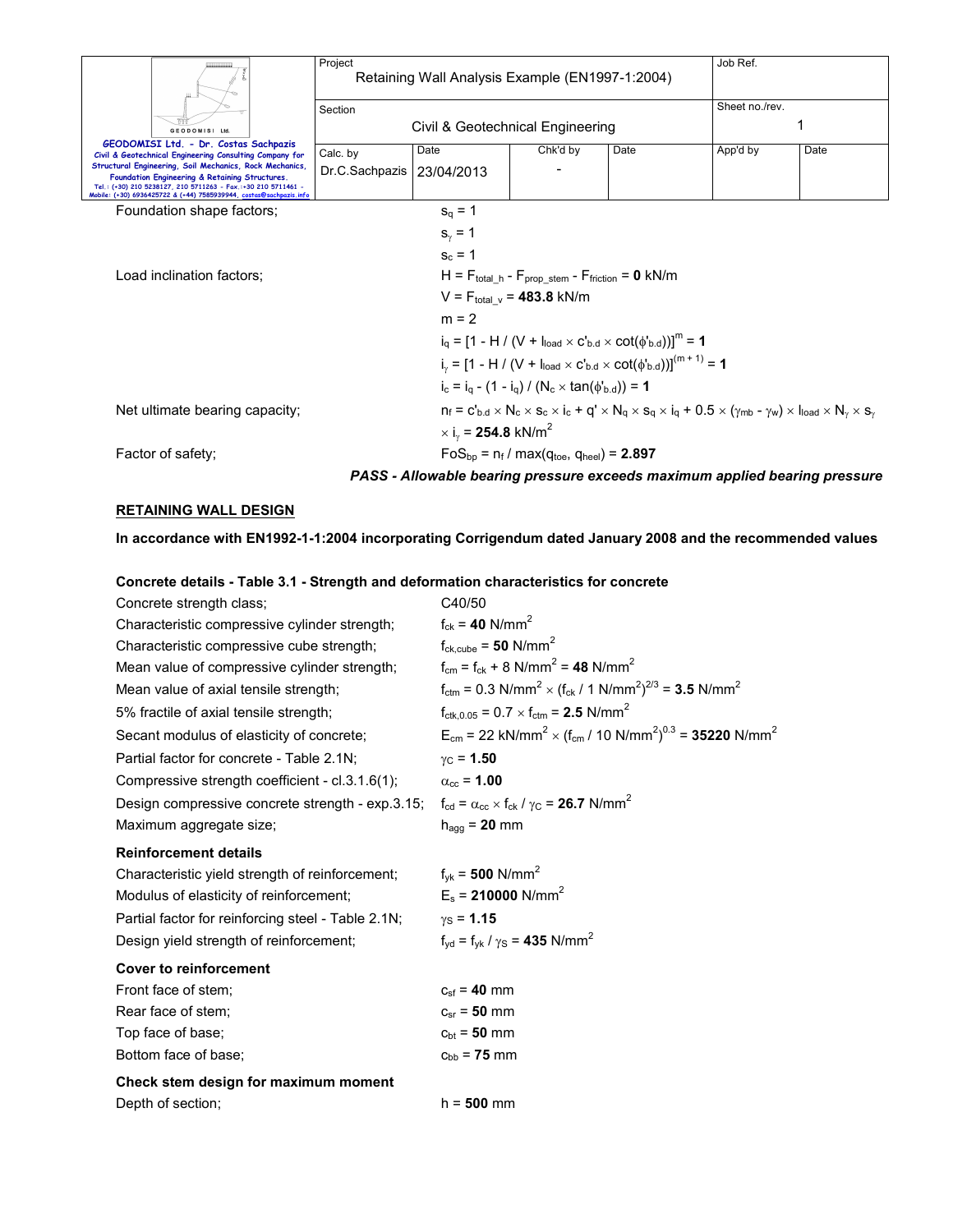|                                                                                                                                                                                                                                                 | Project                                                                 | Retaining Wall Analysis Example (EN1997-1:2004) | Job Ref.                                                   |                                                                                   |                |      |
|-------------------------------------------------------------------------------------------------------------------------------------------------------------------------------------------------------------------------------------------------|-------------------------------------------------------------------------|-------------------------------------------------|------------------------------------------------------------|-----------------------------------------------------------------------------------|----------------|------|
|                                                                                                                                                                                                                                                 | Section                                                                 |                                                 |                                                            |                                                                                   | Sheet no./rev. |      |
| GEODOMISI Ltd.                                                                                                                                                                                                                                  |                                                                         | Civil & Geotechnical Engineering                |                                                            |                                                                                   |                |      |
| GEODOMISI Ltd. - Dr. Costas Sachpazis<br>Civil & Geotechnical Engineering Consulting Company for                                                                                                                                                | Calc. by                                                                | Date                                            | Chk'd by                                                   | Date                                                                              | App'd by       | Date |
| Structural Engineering, Soil Mechanics, Rock Mechanics<br>Foundation Engineering & Retaining Structures.<br>Tel.: (+30) 210 5238127, 210 5711263 - Fax.:+30 210 5711461 -<br>Mobile: (+30) 6936425722 & (+44) 7585939944, costas@sachpazis.info | Dr.C.Sachpazis                                                          | 23/04/2013                                      |                                                            |                                                                                   |                |      |
| Foundation shape factors;                                                                                                                                                                                                                       |                                                                         | $s_q = 1$                                       |                                                            |                                                                                   |                |      |
|                                                                                                                                                                                                                                                 |                                                                         | $s_{v} = 1$                                     |                                                            |                                                                                   |                |      |
|                                                                                                                                                                                                                                                 |                                                                         | $s_c = 1$                                       |                                                            |                                                                                   |                |      |
| Load inclination factors:                                                                                                                                                                                                                       |                                                                         |                                                 | $H = F_{total h} - F_{prop stem} - F_{friction} = 0 kN/m$  |                                                                                   |                |      |
|                                                                                                                                                                                                                                                 |                                                                         |                                                 | $V = F_{total}$ $_{v} = 483.8$ kN/m                        |                                                                                   |                |      |
|                                                                                                                                                                                                                                                 |                                                                         | $m = 2$                                         |                                                            |                                                                                   |                |      |
|                                                                                                                                                                                                                                                 |                                                                         |                                                 |                                                            | $i_0 = [1 - H / (V + I_{load} \times C_{bd} \times \cot(\phi_{bd}))]^{m} = 1$     |                |      |
|                                                                                                                                                                                                                                                 |                                                                         |                                                 |                                                            | $i_v = [1 - H / (V + I_{load} \times C_{bd} \times \cot(\phi_{bd}))]^{(m+1)} = 1$ |                |      |
|                                                                                                                                                                                                                                                 |                                                                         |                                                 | $i_c = i_a - (1 - i_q) / (N_c \times tan(\phi_{b.d})) = 1$ |                                                                                   |                |      |
| $n_f = c'_{b,d} \times N_c \times s_c \times i_c + q' \times N_q \times s_q \times i_q + 0.5 \times (\gamma_{mb} - \gamma_w) \times i_{load} \times N_v \times s_v$<br>Net ultimate bearing capacity;                                           |                                                                         |                                                 |                                                            |                                                                                   |                |      |
|                                                                                                                                                                                                                                                 | $\times$ i <sub>v</sub> = <b>254.8</b> kN/m <sup>2</sup>                |                                                 |                                                            |                                                                                   |                |      |
| Factor of safety;                                                                                                                                                                                                                               | $FoS_{\text{bp}} = n_f / max(q_{\text{toe}} , q_{\text{heel}}) = 2.897$ |                                                 |                                                            |                                                                                   |                |      |
|                                                                                                                                                                                                                                                 |                                                                         |                                                 |                                                            | PASS - Allowable bearing pressure exceeds maximum applied bearing pressure        |                |      |

#### **RETAINING WALL DESIGN**

**In accordance with EN1992-1-1:2004 incorporating Corrigendum dated January 2008 and the recommended values** 

**Concrete details - Table 3.1 - Strength and deformation characteristics for concrete** 

| Concrete strength class;                           | C40/50                                                                                                                       |
|----------------------------------------------------|------------------------------------------------------------------------------------------------------------------------------|
| Characteristic compressive cylinder strength;      | $f_{ck} = 40$ N/mm <sup>2</sup>                                                                                              |
| Characteristic compressive cube strength;          | $f_{\text{ck,cube}} = 50 \text{ N/mm}^2$                                                                                     |
| Mean value of compressive cylinder strength;       | $f_{cm} = f_{ck} + 8$ N/mm <sup>2</sup> = 48 N/mm <sup>2</sup>                                                               |
| Mean value of axial tensile strength;              | $f_{\text{ctm}} = 0.3 \text{ N/mm}^2 \times (f_{\text{ck}} / 1 \text{ N/mm}^2)^{2/3} = 3.5 \text{ N/mm}^2$                   |
| 5% fractile of axial tensile strength;             | $f_{\text{ctk},0.05} = 0.7 \times f_{\text{ctm}} = 2.5 \text{ N/mm}^2$                                                       |
| Secant modulus of elasticity of concrete;          | $E_{cm}$ = 22 kN/mm <sup>2</sup> × (f <sub>cm</sub> / 10 N/mm <sup>2</sup> ) <sup>0.3</sup> = <b>35220</b> N/mm <sup>2</sup> |
| Partial factor for concrete - Table 2.1N;          | $y_C = 1.50$                                                                                                                 |
| Compressive strength coefficient - cl.3.1.6(1);    | $\alpha_{\rm cc}$ = 1.00                                                                                                     |
| Design compressive concrete strength - exp.3.15;   | $f_{\rm cd} = \alpha_{\rm cc} \times f_{\rm ck} / \gamma_{\rm C} = 26.7$ N/mm <sup>2</sup>                                   |
| Maximum aggregate size;                            | $h_{\text{aqq}} = 20$ mm                                                                                                     |
| <b>Reinforcement details</b>                       |                                                                                                                              |
| Characteristic yield strength of reinforcement;    | $f_{\text{vk}} = 500 \text{ N/mm}^2$                                                                                         |
| Modulus of elasticity of reinforcement;            | $E_s$ = 210000 N/mm <sup>2</sup>                                                                                             |
| Partial factor for reinforcing steel - Table 2.1N; | $y_S = 1.15$                                                                                                                 |
| Design yield strength of reinforcement;            | $f_{\text{yd}} = f_{\text{yk}} / \gamma_{\text{S}} = 435 \text{ N/mm}^2$                                                     |
| <b>Cover to reinforcement</b>                      |                                                                                                                              |
| Front face of stem;                                | $c_{\rm sf} = 40 \, \rm mm$                                                                                                  |
| Rear face of stem;                                 | $c_{sr} = 50$ mm                                                                                                             |
| Top face of base;                                  | $c_{\rm bt} = 50$ mm                                                                                                         |
| Bottom face of base:                               | $c_{\rm bb}$ = 75 mm                                                                                                         |
| Check stem design for maximum moment               |                                                                                                                              |
| Depth of section;                                  | $h = 500$ mm                                                                                                                 |
|                                                    |                                                                                                                              |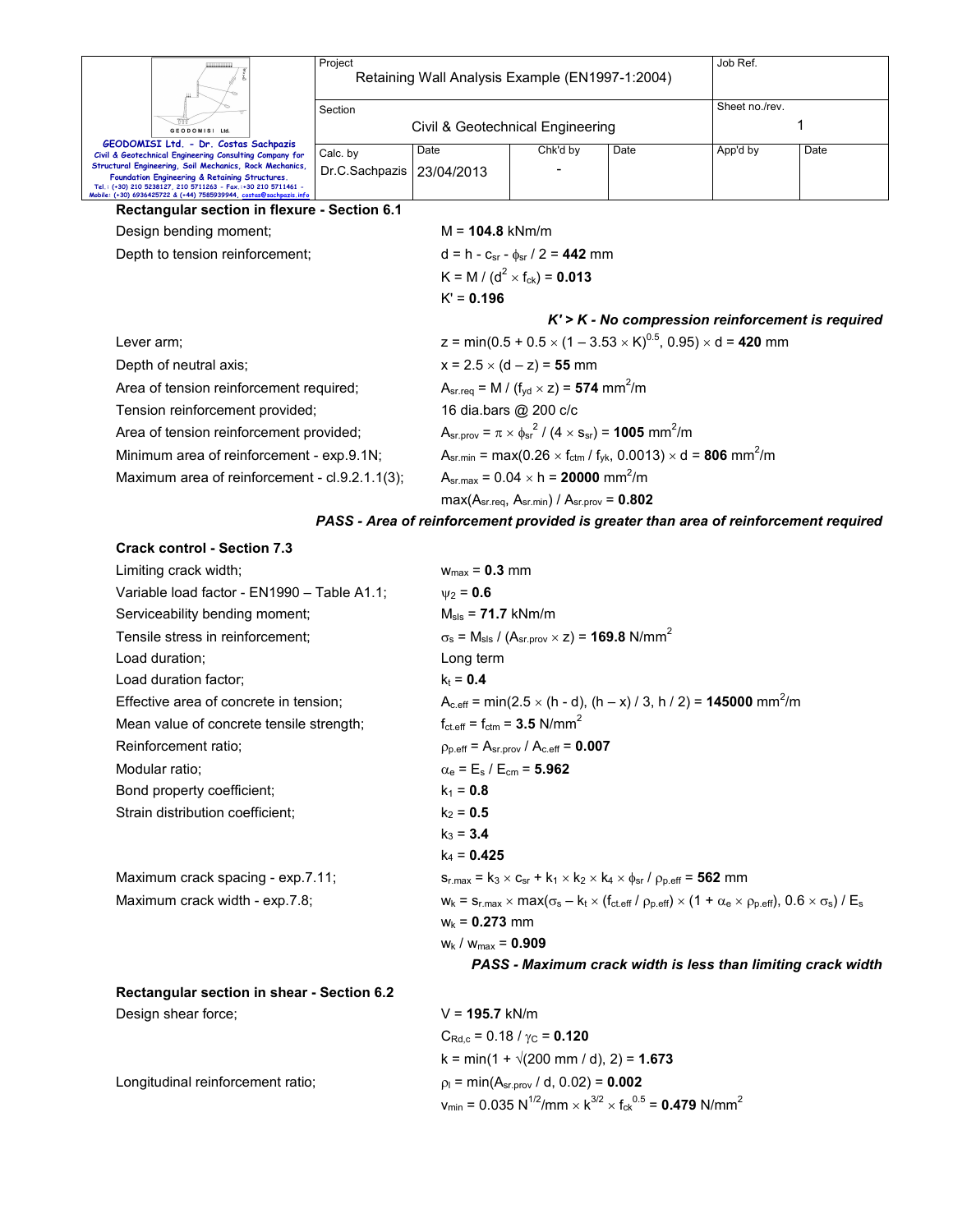|                                                                                                                                                                                                                                                  | Project<br>Retaining Wall Analysis Example (EN1997-1:2004) |                                                            |                                                                                             |      |                | Job Ref. |  |  |
|--------------------------------------------------------------------------------------------------------------------------------------------------------------------------------------------------------------------------------------------------|------------------------------------------------------------|------------------------------------------------------------|---------------------------------------------------------------------------------------------|------|----------------|----------|--|--|
|                                                                                                                                                                                                                                                  | Section                                                    |                                                            |                                                                                             |      | Sheet no./rev. |          |  |  |
| <b>GEODOMISI Ltd</b>                                                                                                                                                                                                                             | Civil & Geotechnical Engineering                           |                                                            |                                                                                             |      |                |          |  |  |
| GEODOMISI Ltd. - Dr. Costas Sachpazis<br>Civil & Geotechnical Engineering Consulting Company for                                                                                                                                                 | Calc. by                                                   | Date                                                       | Chk'd by                                                                                    | Date | App'd by       | Date     |  |  |
| Structural Engineering, Soil Mechanics, Rock Mechanics,<br>Foundation Engineering & Retaining Structures.<br>Tel.: (+30) 210 5238127, 210 5711263 - Fax.:+30 210 5711461 -<br>Mobile: (+30) 6936425722 & (+44) 7585939944, costas@sachpazis.info | Dr.C.Sachpazis                                             | 23/04/2013                                                 |                                                                                             |      |                |          |  |  |
| Rectangular section in flexure - Section 6.1                                                                                                                                                                                                     |                                                            |                                                            |                                                                                             |      |                |          |  |  |
| Design bending moment;                                                                                                                                                                                                                           |                                                            |                                                            | $M = 104.8$ kNm/m                                                                           |      |                |          |  |  |
| Depth to tension reinforcement;                                                                                                                                                                                                                  |                                                            |                                                            | $d = h - c_{sr} - \phi_{sr} / 2 = 442$ mm                                                   |      |                |          |  |  |
|                                                                                                                                                                                                                                                  |                                                            | K = M / (d <sup>2</sup> × f <sub>ck</sub> ) = <b>0.013</b> |                                                                                             |      |                |          |  |  |
|                                                                                                                                                                                                                                                  |                                                            | $K' = 0.196$                                               |                                                                                             |      |                |          |  |  |
|                                                                                                                                                                                                                                                  | $K'$ > $K$ - No compression reinforcement is required      |                                                            |                                                                                             |      |                |          |  |  |
| Lever arm;                                                                                                                                                                                                                                       |                                                            |                                                            | z = min(0.5 + 0.5 $\times$ (1 – 3.53 $\times$ K) <sup>0.5</sup> , 0.95) $\times$ d = 420 mm |      |                |          |  |  |
| Depth of neutral axis;                                                                                                                                                                                                                           |                                                            |                                                            | $x = 2.5 \times (d - z) = 55$ mm                                                            |      |                |          |  |  |
| Area of tension reinforcement required;                                                                                                                                                                                                          |                                                            |                                                            | $A_{sr.read} = M / (f_{vd} \times z) = 574$ mm <sup>2</sup> /m                              |      |                |          |  |  |
| Tension reinforcement provided;                                                                                                                                                                                                                  |                                                            | 16 dia.bars @ 200 c/c                                      |                                                                                             |      |                |          |  |  |
| Area of tension reinforcement provided;                                                                                                                                                                                                          |                                                            |                                                            | $A_{sr,prov} = \pi \times \phi_{sr}^2 / (4 \times s_{sr}) = 1005$ mm <sup>2</sup> /m        |      |                |          |  |  |
| Minimum area of reinforcement - exp.9.1N;                                                                                                                                                                                                        |                                                            |                                                            | $A_{sr,min} = max(0.26 \times f_{ctm} / f_{yk}, 0.0013) \times d = 806$ mm <sup>2</sup> /m  |      |                |          |  |  |
|                                                                                                                                                                                                                                                  | Maximum area of reinforcement - cl.9.2.1.1(3);             |                                                            | $A_{sr.max} = 0.04 \times h = 20000 \text{ mm}^2/m$                                         |      |                |          |  |  |
|                                                                                                                                                                                                                                                  |                                                            |                                                            | $max(Asr.read, Asr.min) / Asr.gov = 0.802$                                                  |      |                |          |  |  |

## *PASS - Area of reinforcement provided is greater than area of reinforcement required*

 $v_{\text{min}}$  = 0.035 N<sup>1/2</sup>/mm  $\times$  k<sup>3/2</sup>  $\times$  f<sub>ck</sub><sup>0.5</sup> = **0.479** N/mm<sup>2</sup>

#### **Crack control - Section 7.3**

| Limiting crack width;                       | $w_{max}$ = 0.3 mm                                                                                                                                                                |
|---------------------------------------------|-----------------------------------------------------------------------------------------------------------------------------------------------------------------------------------|
| Variable load factor - EN1990 - Table A1.1; | $v_2 = 0.6$                                                                                                                                                                       |
| Serviceability bending moment;              | $M_{\rm{sls}} = 71.7$ kNm/m                                                                                                                                                       |
| Tensile stress in reinforcement:            | $\sigma_s$ = M <sub>sls</sub> / (A <sub>sr.prov</sub> $\times$ z) = <b>169.8</b> N/mm <sup>2</sup>                                                                                |
| Load duration;                              | Long term                                                                                                                                                                         |
| Load duration factor:                       | $k_t = 0.4$                                                                                                                                                                       |
| Effective area of concrete in tension;      | $A_{c,eff}$ = min(2.5 $\times$ (h - d), (h – x) / 3, h / 2) = <b>145000</b> mm <sup>2</sup> /m                                                                                    |
| Mean value of concrete tensile strength;    | $f_{\text{ct.eff}} = f_{\text{ctm}} = 3.5 \text{ N/mm}^2$                                                                                                                         |
| Reinforcement ratio;                        | $\rho_{p. eff}$ = A <sub>sr.prov</sub> / A <sub>c.eff</sub> = <b>0.007</b>                                                                                                        |
| Modular ratio:                              | $\alpha_e = E_s / E_{cm} = 5.962$                                                                                                                                                 |
| Bond property coefficient;                  | $k_1 = 0.8$                                                                                                                                                                       |
| Strain distribution coefficient;            | $k_2 = 0.5$                                                                                                                                                                       |
|                                             | $k_3 = 3.4$                                                                                                                                                                       |
|                                             | $k_4$ = 0.425                                                                                                                                                                     |
| Maximum crack spacing - exp.7.11;           | $s_{r,max} = k_3 \times c_{sr} + k_1 \times k_2 \times k_4 \times \phi_{sr} / \rho_{p,eff} = 562$ mm                                                                              |
| Maximum crack width - exp.7.8;              | $w_k = s_{r,\text{max}} \times \text{max}(\sigma_s - k_t \times (f_{\text{ct.eff}} / p_{p,\text{eff}}) \times (1 + \alpha_e \times p_{p,\text{eff}}), 0.6 \times \sigma_s) / E_s$ |
|                                             | $w_k = 0.273$ mm                                                                                                                                                                  |
|                                             | $W_k$ / $W_{max}$ = 0.909                                                                                                                                                         |
|                                             | PASS - Maximum crack width is less than limiting crack width                                                                                                                      |
| Rectangular section in shear - Section 6.2  |                                                                                                                                                                                   |
| Design shear force;                         | $V = 195.7$ kN/m                                                                                                                                                                  |
|                                             | $C_{\text{Rd.c}}$ = 0.18 / $\gamma_{\text{C}}$ = 0.120                                                                                                                            |
|                                             | $k = min(1 + \sqrt{200} \text{ mm } / \text{ d}), 2) = 1.673$                                                                                                                     |
| Longitudinal reinforcement ratio;           | $p_1 = min(A_{sr,prov}/d, 0.02) = 0.002$                                                                                                                                          |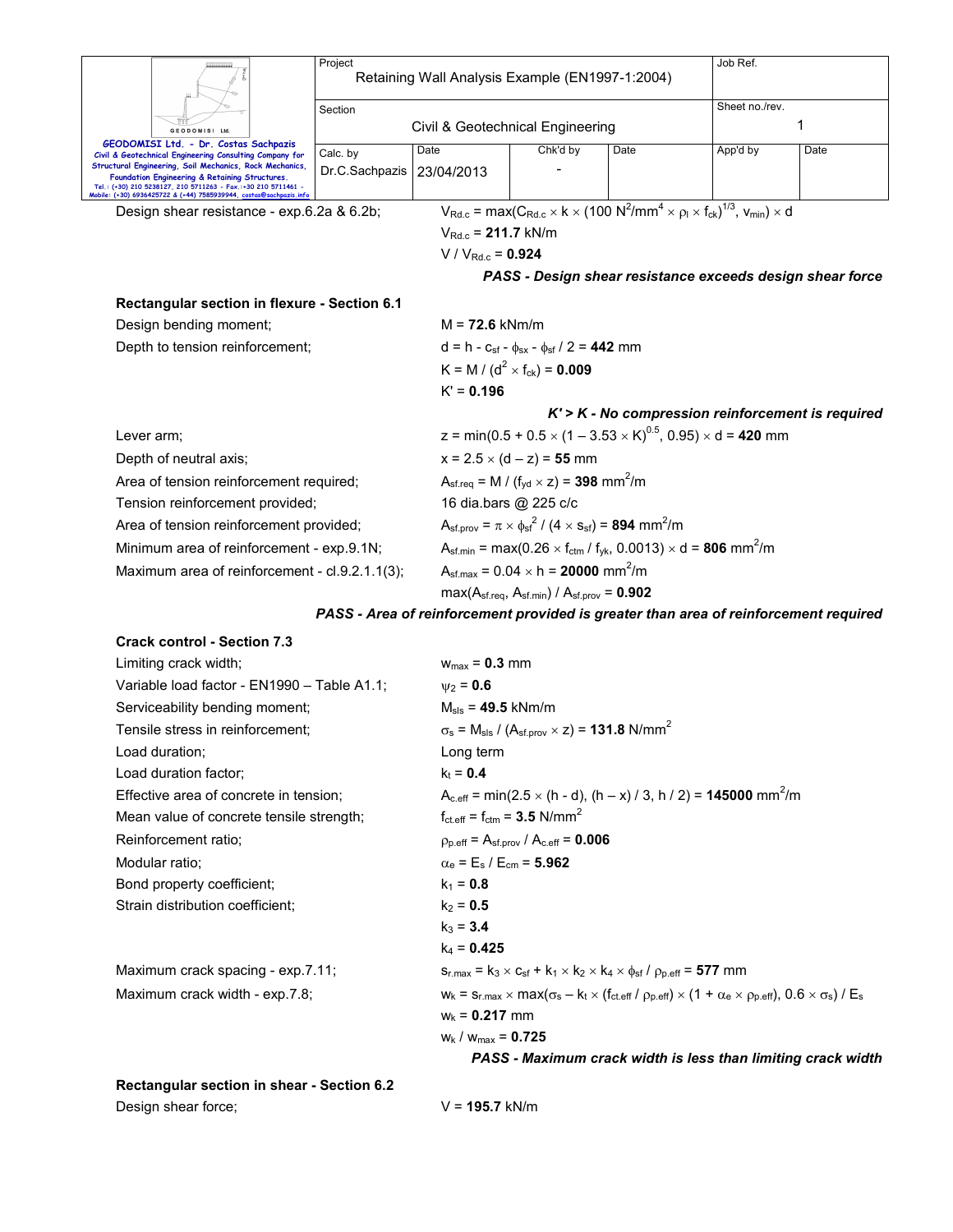| GEODOMISI Ltd<br>GEODOMISI Ltd. - Dr. Costas Sachpazis<br>Civil & Geotechnical Engineering Consulting Company for                                                                                                                                    | Project                                                                                        | Retaining Wall Analysis Example (EN1997-1:2004) | Job Ref.                                                                                                                                                   |                                                                                                                              |                |                                                                                      |  |  |  |
|------------------------------------------------------------------------------------------------------------------------------------------------------------------------------------------------------------------------------------------------------|------------------------------------------------------------------------------------------------|-------------------------------------------------|------------------------------------------------------------------------------------------------------------------------------------------------------------|------------------------------------------------------------------------------------------------------------------------------|----------------|--------------------------------------------------------------------------------------|--|--|--|
|                                                                                                                                                                                                                                                      | Section                                                                                        |                                                 |                                                                                                                                                            |                                                                                                                              | Sheet no./rev. |                                                                                      |  |  |  |
|                                                                                                                                                                                                                                                      |                                                                                                | Civil & Geotechnical Engineering                |                                                                                                                                                            |                                                                                                                              |                | 1                                                                                    |  |  |  |
|                                                                                                                                                                                                                                                      | Calc. by                                                                                       | Date                                            | Chk'd by                                                                                                                                                   | Date                                                                                                                         | App'd by       | Date                                                                                 |  |  |  |
| Structural Engineering, Soil Mechanics, Rock Mechanics,<br>Foundation Engineering & Retaining Structures.<br>Tel.: (+30) 210 5238127, 210 5711263 - Fax.:+30 210 5711461<br>Mobile: (+30) 6936425722 & (+44) 7585939944, <u>costas<mark>@</mark></u> | Dr.C.Sachpazis                                                                                 | 23/04/2013                                      |                                                                                                                                                            |                                                                                                                              |                |                                                                                      |  |  |  |
| Design shear resistance - exp.6.2a & 6.2b;                                                                                                                                                                                                           |                                                                                                |                                                 | $V_{\text{Rd.c}}$ = max( $C_{\text{Rd.c}} \times k \times (100 \text{ N}^2/\text{mm}^4 \times \rho_1 \times f_{\text{ck}})^{1/3}$ , $V_{\text{min}}$ ) × d |                                                                                                                              |                |                                                                                      |  |  |  |
|                                                                                                                                                                                                                                                      | $V_{Rd.c} = 211.7$ kN/m                                                                        |                                                 |                                                                                                                                                            |                                                                                                                              |                |                                                                                      |  |  |  |
|                                                                                                                                                                                                                                                      |                                                                                                | $V / V_{Rd.c} = 0.924$                          |                                                                                                                                                            |                                                                                                                              |                |                                                                                      |  |  |  |
|                                                                                                                                                                                                                                                      |                                                                                                |                                                 |                                                                                                                                                            |                                                                                                                              |                | PASS - Design shear resistance exceeds design shear force                            |  |  |  |
| Rectangular section in flexure - Section 6.1                                                                                                                                                                                                         |                                                                                                |                                                 |                                                                                                                                                            |                                                                                                                              |                |                                                                                      |  |  |  |
| Design bending moment;                                                                                                                                                                                                                               |                                                                                                | $M = 72.6$ kNm/m                                |                                                                                                                                                            |                                                                                                                              |                |                                                                                      |  |  |  |
| Depth to tension reinforcement;                                                                                                                                                                                                                      |                                                                                                |                                                 | $d = h - c_{sf} - \phi_{sx} - \phi_{sf} / 2 = 442$ mm                                                                                                      |                                                                                                                              |                |                                                                                      |  |  |  |
|                                                                                                                                                                                                                                                      |                                                                                                |                                                 | K = M / ( $d^2$ × f <sub>ck</sub> ) = <b>0.009</b>                                                                                                         |                                                                                                                              |                |                                                                                      |  |  |  |
|                                                                                                                                                                                                                                                      |                                                                                                | $K' = 0.196$                                    |                                                                                                                                                            |                                                                                                                              |                |                                                                                      |  |  |  |
|                                                                                                                                                                                                                                                      |                                                                                                |                                                 |                                                                                                                                                            |                                                                                                                              |                | $K'$ > $K$ - No compression reinforcement is required                                |  |  |  |
| Lever arm;                                                                                                                                                                                                                                           |                                                                                                |                                                 | z = min(0.5 + 0.5 $\times$ (1 – 3.53 $\times$ K) <sup>0.5</sup> , 0.95) $\times$ d = 420 mm                                                                |                                                                                                                              |                |                                                                                      |  |  |  |
| Depth of neutral axis;                                                                                                                                                                                                                               |                                                                                                |                                                 | $x = 2.5 \times (d - z) = 55$ mm                                                                                                                           |                                                                                                                              |                |                                                                                      |  |  |  |
| Area of tension reinforcement required;                                                                                                                                                                                                              |                                                                                                |                                                 | $A_{\rm sf.req} = M / (f_{\rm yd} \times z) = 398$ mm <sup>2</sup> /m                                                                                      |                                                                                                                              |                |                                                                                      |  |  |  |
| Tension reinforcement provided;                                                                                                                                                                                                                      |                                                                                                | 16 dia.bars @ 225 c/c                           |                                                                                                                                                            |                                                                                                                              |                |                                                                                      |  |  |  |
| Area of tension reinforcement provided;                                                                                                                                                                                                              |                                                                                                |                                                 |                                                                                                                                                            | $A_{\rm sf. prov} = \pi \times \phi_{\rm sf}^2 / (4 \times s_{\rm sf}) = 894 \, \text{mm}^2/\text{m}$                        |                |                                                                                      |  |  |  |
|                                                                                                                                                                                                                                                      | Minimum area of reinforcement - exp.9.1N;                                                      |                                                 |                                                                                                                                                            | $A_{\rm sf.min}$ = max(0.26 $\times$ f <sub>ctm</sub> / f <sub>yk</sub> , 0.0013) $\times$ d = <b>806</b> mm <sup>2</sup> /m |                |                                                                                      |  |  |  |
| Maximum area of reinforcement - cl.9.2.1.1(3);                                                                                                                                                                                                       |                                                                                                |                                                 | $A_{\text{sf,max}} = 0.04 \times h = 20000 \text{ mm}^2/m$                                                                                                 |                                                                                                                              |                |                                                                                      |  |  |  |
|                                                                                                                                                                                                                                                      |                                                                                                | $max(Asf.read, Asf.min) / Asf.prov = 0.902$     |                                                                                                                                                            |                                                                                                                              |                |                                                                                      |  |  |  |
|                                                                                                                                                                                                                                                      |                                                                                                |                                                 |                                                                                                                                                            |                                                                                                                              |                | PASS - Area of reinforcement provided is greater than area of reinforcement required |  |  |  |
| <b>Crack control - Section 7.3</b>                                                                                                                                                                                                                   |                                                                                                |                                                 |                                                                                                                                                            |                                                                                                                              |                |                                                                                      |  |  |  |
| Limiting crack width;                                                                                                                                                                                                                                |                                                                                                | $w_{max} = 0.3$ mm                              |                                                                                                                                                            |                                                                                                                              |                |                                                                                      |  |  |  |
| Variable load factor - EN1990 - Table A1.1;                                                                                                                                                                                                          |                                                                                                | $\psi_2 = 0.6$                                  |                                                                                                                                                            |                                                                                                                              |                |                                                                                      |  |  |  |
| Serviceability bending moment;                                                                                                                                                                                                                       |                                                                                                | $M_{\rm{sls}} = 49.5$ kNm/m                     |                                                                                                                                                            |                                                                                                                              |                |                                                                                      |  |  |  |
| Tensile stress in reinforcement;                                                                                                                                                                                                                     |                                                                                                |                                                 | $\sigma_s$ = M <sub>sls</sub> / (A <sub>sf.prov</sub> $\times$ z) = <b>131.8</b> N/mm <sup>2</sup>                                                         |                                                                                                                              |                |                                                                                      |  |  |  |
| Load duration;                                                                                                                                                                                                                                       |                                                                                                | Long term                                       |                                                                                                                                                            |                                                                                                                              |                |                                                                                      |  |  |  |
| Load duration factor;                                                                                                                                                                                                                                | $k_t = 0.4$                                                                                    |                                                 |                                                                                                                                                            |                                                                                                                              |                |                                                                                      |  |  |  |
| Effective area of concrete in tension;                                                                                                                                                                                                               | $A_{c,eff}$ = min(2.5 $\times$ (h - d), (h – x) / 3, h / 2) = <b>145000</b> mm <sup>2</sup> /m |                                                 |                                                                                                                                                            |                                                                                                                              |                |                                                                                      |  |  |  |
| Mean value of concrete tensile strength;                                                                                                                                                                                                             | $f_{\text{ct.eff}} = f_{\text{ctm}} = 3.5 \text{ N/mm}^2$                                      |                                                 |                                                                                                                                                            |                                                                                                                              |                |                                                                                      |  |  |  |
| Reinforcement ratio;                                                                                                                                                                                                                                 | $p_{p,eff} = A_{sf,prov} / A_{c,eff} = 0.006$                                                  |                                                 |                                                                                                                                                            |                                                                                                                              |                |                                                                                      |  |  |  |
| Modular ratio;                                                                                                                                                                                                                                       | $\alpha_{\rm e}$ = $\rm E_s$ / $\rm E_{cm}$ = $\rm 5.962$                                      |                                                 |                                                                                                                                                            |                                                                                                                              |                |                                                                                      |  |  |  |
| Bond property coefficient;                                                                                                                                                                                                                           | $k_1 = 0.8$                                                                                    |                                                 |                                                                                                                                                            |                                                                                                                              |                |                                                                                      |  |  |  |
| Strain distribution coefficient;                                                                                                                                                                                                                     | $k_2 = 0.5$                                                                                    |                                                 |                                                                                                                                                            |                                                                                                                              |                |                                                                                      |  |  |  |
|                                                                                                                                                                                                                                                      | $k_3 = 3.4$                                                                                    |                                                 |                                                                                                                                                            |                                                                                                                              |                |                                                                                      |  |  |  |
|                                                                                                                                                                                                                                                      | $k_4 = 0.425$                                                                                  |                                                 |                                                                                                                                                            |                                                                                                                              |                |                                                                                      |  |  |  |

Maximum crack spacing - exp.7.11;  $s_{r,max} = k_3 \times c_{sf} + k_1 \times k_2 \times k_4 \times \phi_{sf} / \rho_{p,eff} = 577$  mm Maximum crack width - exp.7.8;  $w_k = s_{r,\text{max}} \times \text{max}(\sigma_s - k_t \times (f_{\text{ct.eff}} / \rho_{p,\text{eff}}) \times (1 + \alpha_e \times \rho_{p,\text{eff}}), 0.6 \times \sigma_s) / E_s$ 

> wk / wmax = **0.725** *PASS - Maximum crack width is less than limiting crack width*

**Rectangular section in shear - Section 6.2**  Design shear force; V = 195.7 kN/m

wk = **0.217** mm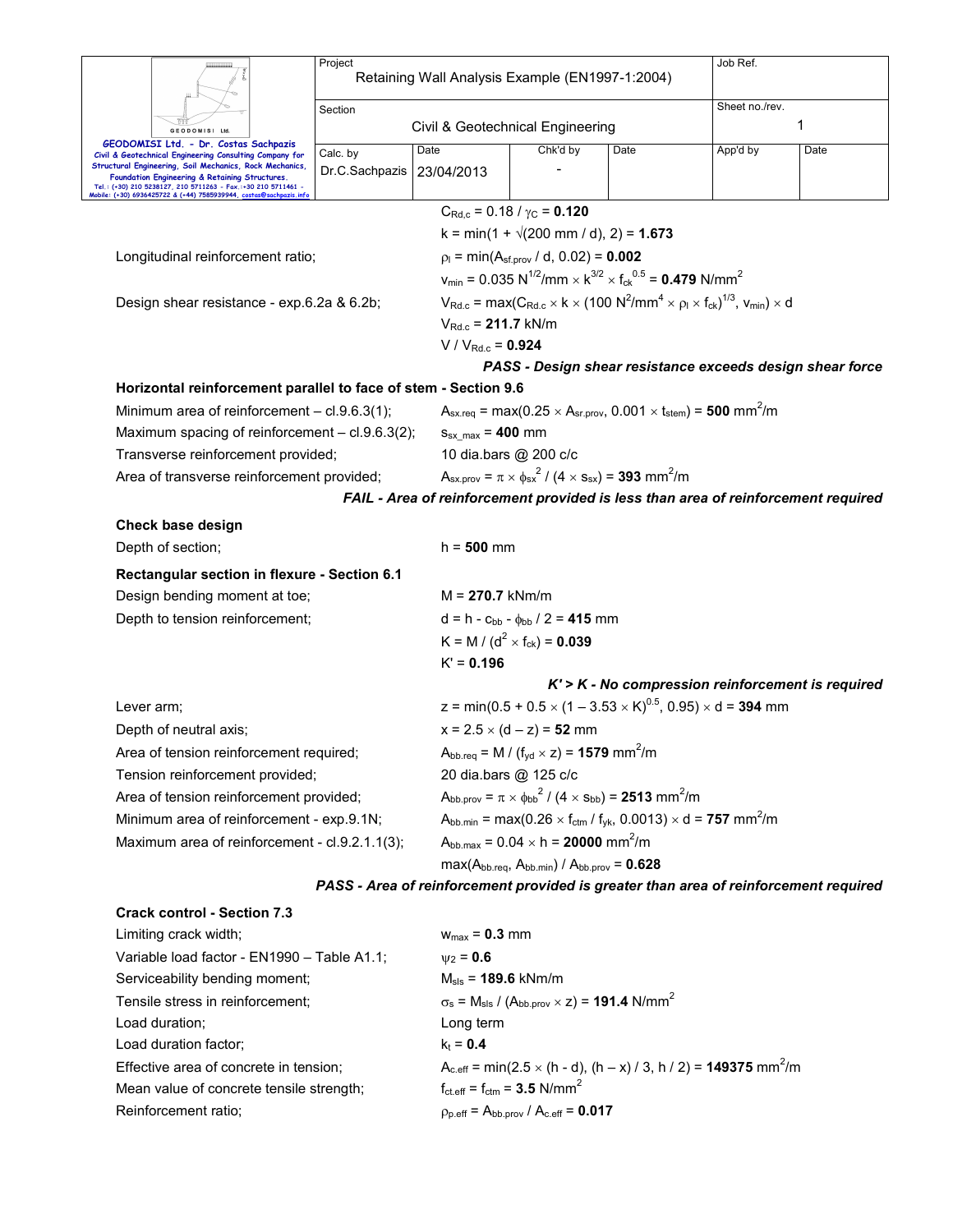|                |                                                                                                                                                                                                                                                                                | Project<br>Retaining Wall Analysis Example (EN1997-1:2004) |                             |                                                                                                                                |      | Job Ref.                                                                                                                                                      |                                                                                      |  |  |  |
|----------------|--------------------------------------------------------------------------------------------------------------------------------------------------------------------------------------------------------------------------------------------------------------------------------|------------------------------------------------------------|-----------------------------|--------------------------------------------------------------------------------------------------------------------------------|------|---------------------------------------------------------------------------------------------------------------------------------------------------------------|--------------------------------------------------------------------------------------|--|--|--|
| GEODOMISI Ltd. |                                                                                                                                                                                                                                                                                | Section                                                    |                             |                                                                                                                                |      |                                                                                                                                                               | Sheet no./rev.                                                                       |  |  |  |
|                |                                                                                                                                                                                                                                                                                | Civil & Geotechnical Engineering                           |                             | 1                                                                                                                              |      |                                                                                                                                                               |                                                                                      |  |  |  |
|                | GEODOMISI Ltd. - Dr. Costas Sachpazis<br>Civil & Geotechnical Engineering Consulting Company for<br>Structural Engineering, Soil Mechanics, Rock Mechanics,<br>Foundation Engineering & Retaining Structures.<br>Tel.: (+30) 210 5238127, 210 5711263 - Fax.:+30 210 5711461 - |                                                            | Date                        | Chk'd by                                                                                                                       | Date | App'd by                                                                                                                                                      | Date                                                                                 |  |  |  |
|                |                                                                                                                                                                                                                                                                                |                                                            | 23/04/2013                  |                                                                                                                                |      |                                                                                                                                                               |                                                                                      |  |  |  |
|                | Mobile: (+30) 6936425722 & (+44) 7585939944, costas@sachpazis.inf                                                                                                                                                                                                              |                                                            |                             | $C_{\text{Rd},c}$ = 0.18 / $\gamma_{\text{C}}$ = 0.120                                                                         |      |                                                                                                                                                               |                                                                                      |  |  |  |
|                |                                                                                                                                                                                                                                                                                |                                                            |                             | $k = min(1 + \sqrt{200 \text{ mm}/ d})$ , 2) = 1.673                                                                           |      |                                                                                                                                                               |                                                                                      |  |  |  |
|                | Longitudinal reinforcement ratio;                                                                                                                                                                                                                                              |                                                            |                             | $p_1 = min(A_{sf.prov} / d, 0.02) = 0.002$                                                                                     |      |                                                                                                                                                               |                                                                                      |  |  |  |
|                |                                                                                                                                                                                                                                                                                |                                                            |                             | $v_{\text{min}} = 0.035 \text{ N}^{1/2}/\text{mm} \times \text{K}^{3/2} \times f_{\text{ck}}^{0.5} = 0.479 \text{ N/mm}^2$     |      |                                                                                                                                                               |                                                                                      |  |  |  |
|                | Design shear resistance - exp.6.2a & 6.2b;                                                                                                                                                                                                                                     |                                                            |                             |                                                                                                                                |      | $V_{\text{Rd.c}}$ = max( $C_{\text{Rd.c}} \times k \times (100 \text{ N}^2/\text{mm}^4 \times \rho_l \times f_{\text{ck}})^{1/3}$ , $V_{\text{min}} \times d$ |                                                                                      |  |  |  |
|                |                                                                                                                                                                                                                                                                                |                                                            | $V_{Rd.c}$ = 211.7 kN/m     |                                                                                                                                |      |                                                                                                                                                               |                                                                                      |  |  |  |
|                |                                                                                                                                                                                                                                                                                |                                                            | $V / V_{Rd.c} = 0.924$      |                                                                                                                                |      |                                                                                                                                                               |                                                                                      |  |  |  |
|                |                                                                                                                                                                                                                                                                                |                                                            |                             |                                                                                                                                |      | PASS - Design shear resistance exceeds design shear force                                                                                                     |                                                                                      |  |  |  |
|                | Horizontal reinforcement parallel to face of stem - Section 9.6                                                                                                                                                                                                                |                                                            |                             |                                                                                                                                |      |                                                                                                                                                               |                                                                                      |  |  |  |
|                | Minimum area of reinforcement - cl.9.6.3(1);                                                                                                                                                                                                                                   |                                                            |                             |                                                                                                                                |      | $A_{\text{sx.req}} = \max(0.25 \times A_{\text{sr.prov}}, 0.001 \times t_{\text{stem}}) = 500 \text{ mm}^2/\text{m}$                                          |                                                                                      |  |  |  |
|                | Maximum spacing of reinforcement - cl.9.6.3(2);                                                                                                                                                                                                                                |                                                            |                             | $S_{sx \ max}$ = 400 mm                                                                                                        |      |                                                                                                                                                               |                                                                                      |  |  |  |
|                | Transverse reinforcement provided;                                                                                                                                                                                                                                             |                                                            |                             | 10 dia.bars @ 200 c/c                                                                                                          |      |                                                                                                                                                               |                                                                                      |  |  |  |
|                | Area of transverse reinforcement provided;                                                                                                                                                                                                                                     |                                                            |                             | $A_{sx,prov} = \pi \times \phi_{sx}^2 / (4 \times s_{sx}) = 393$ mm <sup>2</sup> /m                                            |      |                                                                                                                                                               |                                                                                      |  |  |  |
|                |                                                                                                                                                                                                                                                                                |                                                            |                             |                                                                                                                                |      | FAIL - Area of reinforcement provided is less than area of reinforcement required                                                                             |                                                                                      |  |  |  |
|                | Check base design                                                                                                                                                                                                                                                              |                                                            |                             |                                                                                                                                |      |                                                                                                                                                               |                                                                                      |  |  |  |
|                | Depth of section;                                                                                                                                                                                                                                                              |                                                            | $h = 500$ mm                |                                                                                                                                |      |                                                                                                                                                               |                                                                                      |  |  |  |
|                | Rectangular section in flexure - Section 6.1                                                                                                                                                                                                                                   |                                                            |                             |                                                                                                                                |      |                                                                                                                                                               |                                                                                      |  |  |  |
|                | Design bending moment at toe;                                                                                                                                                                                                                                                  |                                                            | $M = 270.7$ kNm/m           |                                                                                                                                |      |                                                                                                                                                               |                                                                                      |  |  |  |
|                | Depth to tension reinforcement;                                                                                                                                                                                                                                                |                                                            |                             | $d = h - c_{bb} - \phi_{bb} / 2 = 415$ mm                                                                                      |      |                                                                                                                                                               |                                                                                      |  |  |  |
|                |                                                                                                                                                                                                                                                                                |                                                            |                             | K = M / (d <sup>2</sup> × f <sub>ck</sub> ) = <b>0.039</b>                                                                     |      |                                                                                                                                                               |                                                                                      |  |  |  |
|                |                                                                                                                                                                                                                                                                                |                                                            | $K' = 0.196$                |                                                                                                                                |      |                                                                                                                                                               |                                                                                      |  |  |  |
|                |                                                                                                                                                                                                                                                                                |                                                            |                             |                                                                                                                                |      |                                                                                                                                                               | $K'$ > $K$ - No compression reinforcement is required                                |  |  |  |
| Lever arm;     |                                                                                                                                                                                                                                                                                |                                                            |                             |                                                                                                                                |      | z = min(0.5 + 0.5 $\times$ (1 – 3.53 $\times$ K) <sup>0.5</sup> , 0.95) $\times$ d = <b>394</b> mm                                                            |                                                                                      |  |  |  |
|                | Depth of neutral axis;                                                                                                                                                                                                                                                         |                                                            |                             | $x = 2.5 \times (d - z) = 52$ mm                                                                                               |      |                                                                                                                                                               |                                                                                      |  |  |  |
|                | Area of tension reinforcement required;                                                                                                                                                                                                                                        |                                                            |                             | $A_{\text{bb}.\text{req}} = M \mathbin{/} (\mathfrak{f}_{\text{yd}} \times \mathsf{z}) = \mathsf{1579} \ \text{mm}^2/\text{m}$ |      |                                                                                                                                                               |                                                                                      |  |  |  |
|                | Tension reinforcement provided;                                                                                                                                                                                                                                                |                                                            |                             | 20 dia.bars @ 125 c/c                                                                                                          |      |                                                                                                                                                               |                                                                                      |  |  |  |
|                | Area of tension reinforcement provided;                                                                                                                                                                                                                                        |                                                            |                             | $A_{bb.prov} = \pi \times_{bbb}^2 / (4 \times s_{bb}) = 2513$ mm <sup>2</sup> /m                                               |      |                                                                                                                                                               |                                                                                      |  |  |  |
|                | Minimum area of reinforcement - exp.9.1N;                                                                                                                                                                                                                                      |                                                            |                             | $A_{bb,min}$ = max(0.26 $\times$ f <sub>ctm</sub> / f <sub>yk</sub> , 0.0013) $\times$ d = <b>757</b> mm <sup>2</sup> /m       |      |                                                                                                                                                               |                                                                                      |  |  |  |
|                | Maximum area of reinforcement - cl.9.2.1.1(3);                                                                                                                                                                                                                                 |                                                            |                             | $A_{bb,max} = 0.04 \times h = 20000$ mm <sup>2</sup> /m                                                                        |      |                                                                                                                                                               |                                                                                      |  |  |  |
|                |                                                                                                                                                                                                                                                                                |                                                            |                             | $max(A_{bb\text{.req}}, A_{bb\text{.min}}) / A_{bb\text{.prov}} = 0.628$                                                       |      |                                                                                                                                                               |                                                                                      |  |  |  |
|                |                                                                                                                                                                                                                                                                                |                                                            |                             |                                                                                                                                |      |                                                                                                                                                               | PASS - Area of reinforcement provided is greater than area of reinforcement required |  |  |  |
|                | <b>Crack control - Section 7.3</b>                                                                                                                                                                                                                                             |                                                            |                             |                                                                                                                                |      |                                                                                                                                                               |                                                                                      |  |  |  |
|                | Limiting crack width;                                                                                                                                                                                                                                                          |                                                            | $w_{max} = 0.3$ mm          |                                                                                                                                |      |                                                                                                                                                               |                                                                                      |  |  |  |
|                | Variable load factor - EN1990 - Table A1.1;                                                                                                                                                                                                                                    |                                                            | $\psi_2 = 0.6$              |                                                                                                                                |      |                                                                                                                                                               |                                                                                      |  |  |  |
|                | Serviceability bending moment;                                                                                                                                                                                                                                                 |                                                            | $M_{\rm sls}$ = 189.6 kNm/m |                                                                                                                                |      |                                                                                                                                                               |                                                                                      |  |  |  |
|                | Tensile stress in reinforcement;                                                                                                                                                                                                                                               |                                                            |                             | $\sigma_s$ = M <sub>sls</sub> / (A <sub>bb.prov</sub> $\times$ z) = <b>191.4</b> N/mm <sup>2</sup>                             |      |                                                                                                                                                               |                                                                                      |  |  |  |
|                | Load duration;                                                                                                                                                                                                                                                                 |                                                            | Long term                   |                                                                                                                                |      |                                                                                                                                                               |                                                                                      |  |  |  |
|                | Load duration factor;                                                                                                                                                                                                                                                          |                                                            | $k_t = 0.4$                 |                                                                                                                                |      |                                                                                                                                                               |                                                                                      |  |  |  |
|                | Effective area of concrete in tension;                                                                                                                                                                                                                                         |                                                            |                             |                                                                                                                                |      | $A_{c,eff}$ = min(2.5 $\times$ (h - d), (h – x) / 3, h / 2) = <b>149375</b> mm <sup>2</sup> /m                                                                |                                                                                      |  |  |  |
|                | Mean value of concrete tensile strength;                                                                                                                                                                                                                                       |                                                            |                             | $f_{\text{ct.eff}} = f_{\text{ctm}} = 3.5 \text{ N/mm}^2$                                                                      |      |                                                                                                                                                               |                                                                                      |  |  |  |

Reinforcement ratio;  $\rho_{p.eff} = A_{bb.prov} / A_{c.eff} = 0.017$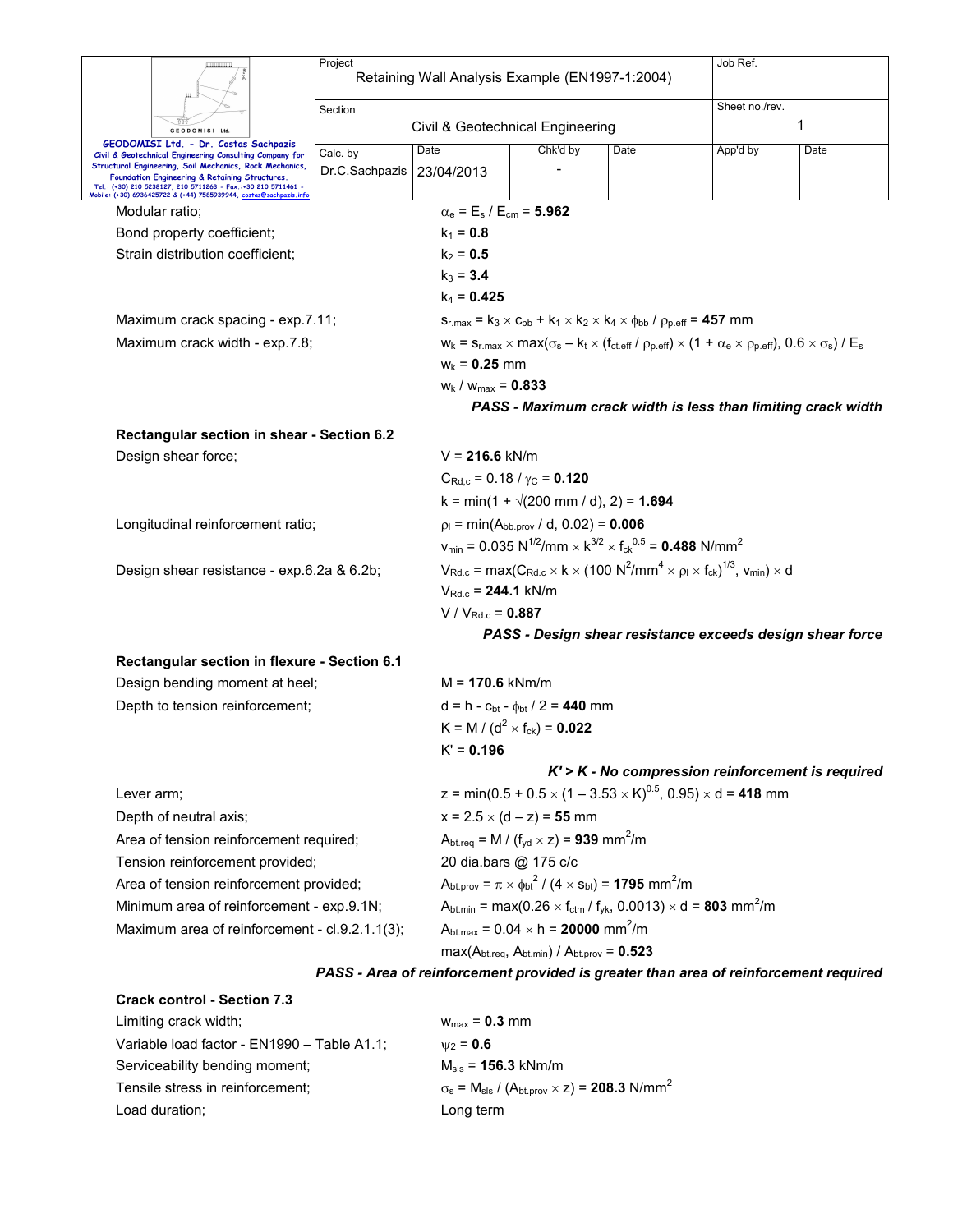|                                                                                                                                                                            | Project<br>Retaining Wall Analysis Example (EN1997-1:2004)                                                           |                                                                            |                                                                                                                                   |                                                                                                                                                                           | Job Ref.       |                                                                                      |  |  |  |
|----------------------------------------------------------------------------------------------------------------------------------------------------------------------------|----------------------------------------------------------------------------------------------------------------------|----------------------------------------------------------------------------|-----------------------------------------------------------------------------------------------------------------------------------|---------------------------------------------------------------------------------------------------------------------------------------------------------------------------|----------------|--------------------------------------------------------------------------------------|--|--|--|
|                                                                                                                                                                            |                                                                                                                      |                                                                            |                                                                                                                                   |                                                                                                                                                                           |                |                                                                                      |  |  |  |
|                                                                                                                                                                            | Section                                                                                                              |                                                                            |                                                                                                                                   |                                                                                                                                                                           | Sheet no./rev. |                                                                                      |  |  |  |
| <b>GEODOMISI</b><br>Ltd                                                                                                                                                    |                                                                                                                      | Civil & Geotechnical Engineering                                           |                                                                                                                                   |                                                                                                                                                                           | 1              |                                                                                      |  |  |  |
| GEODOMISI Ltd. - Dr. Costas Sachpazis<br>Civil & Geotechnical Engineering Consulting Company for                                                                           | Calc. by                                                                                                             | Date                                                                       | Chk'd by                                                                                                                          | Date                                                                                                                                                                      | App'd by       | Date                                                                                 |  |  |  |
| Structural Engineering, Soil Mechanics, Rock Mechanics,<br>Foundation Engineering & Retaining Structures.<br>Tel.: (+30) 210 5238127, 210 5711263 - Fax.:+30 210 5711461 - | Dr.C.Sachpazis                                                                                                       | 23/04/2013                                                                 |                                                                                                                                   |                                                                                                                                                                           |                |                                                                                      |  |  |  |
| Mobile: (+30) 6936425722 & (+44) 7585939944, costas@sachpazis.int                                                                                                          |                                                                                                                      |                                                                            |                                                                                                                                   |                                                                                                                                                                           |                |                                                                                      |  |  |  |
| Modular ratio;                                                                                                                                                             |                                                                                                                      | $\alpha_{\rm e}$ = E <sub>s</sub> / E <sub>cm</sub> = 5.962<br>$k_1 = 0.8$ |                                                                                                                                   |                                                                                                                                                                           |                |                                                                                      |  |  |  |
| Bond property coefficient;<br>Strain distribution coefficient;                                                                                                             |                                                                                                                      | $k_2 = 0.5$                                                                |                                                                                                                                   |                                                                                                                                                                           |                |                                                                                      |  |  |  |
|                                                                                                                                                                            |                                                                                                                      | $k_3 = 3.4$                                                                |                                                                                                                                   |                                                                                                                                                                           |                |                                                                                      |  |  |  |
|                                                                                                                                                                            |                                                                                                                      | $k_4$ = 0.425                                                              |                                                                                                                                   |                                                                                                                                                                           |                |                                                                                      |  |  |  |
| Maximum crack spacing - exp.7.11;                                                                                                                                          |                                                                                                                      |                                                                            |                                                                                                                                   | $S_{r, max} = k_3 \times C_{bb} + k_1 \times k_2 \times k_4 \times \phi_{bb} / \rho_{p, eff} = 457$ mm                                                                    |                |                                                                                      |  |  |  |
| Maximum crack width - exp.7.8;                                                                                                                                             |                                                                                                                      |                                                                            |                                                                                                                                   | $w_k = s_{r.max} \times max(\sigma_s - k_t \times (f_{ct\text{-eff}} / \rho_{p\text{-eff}}) \times (1 + \alpha_e \times \rho_{p\text{-eff}}), 0.6 \times \sigma_s) / E_s$ |                |                                                                                      |  |  |  |
|                                                                                                                                                                            |                                                                                                                      | $W_k = 0.25$ mm                                                            |                                                                                                                                   |                                                                                                                                                                           |                |                                                                                      |  |  |  |
|                                                                                                                                                                            |                                                                                                                      | $W_k / W_{max} = 0.833$                                                    |                                                                                                                                   |                                                                                                                                                                           |                |                                                                                      |  |  |  |
|                                                                                                                                                                            |                                                                                                                      |                                                                            |                                                                                                                                   |                                                                                                                                                                           |                | PASS - Maximum crack width is less than limiting crack width                         |  |  |  |
| Rectangular section in shear - Section 6.2                                                                                                                                 |                                                                                                                      |                                                                            |                                                                                                                                   |                                                                                                                                                                           |                |                                                                                      |  |  |  |
| Design shear force;                                                                                                                                                        |                                                                                                                      | $V = 216.6$ kN/m                                                           |                                                                                                                                   |                                                                                                                                                                           |                |                                                                                      |  |  |  |
|                                                                                                                                                                            |                                                                                                                      |                                                                            | $C_{\text{Rd},c}$ = 0.18 / $\gamma_{\text{C}}$ = 0.120                                                                            |                                                                                                                                                                           |                |                                                                                      |  |  |  |
|                                                                                                                                                                            |                                                                                                                      |                                                                            | $k = min(1 + \sqrt{200 \text{ mm}/ d})$ , 2) = 1.694                                                                              |                                                                                                                                                                           |                |                                                                                      |  |  |  |
| Longitudinal reinforcement ratio;                                                                                                                                          |                                                                                                                      |                                                                            | $p_1 = min(A_{bb.prov} / d, 0.02) = 0.006$                                                                                        |                                                                                                                                                                           |                |                                                                                      |  |  |  |
|                                                                                                                                                                            |                                                                                                                      |                                                                            | $v_{\text{min}} = 0.035 \text{ N}^{1/2}/\text{mm} \times \text{K}^{3/2} \times \text{f}_{\text{ck}}^{0.5} = 0.488 \text{ N/mm}^2$ |                                                                                                                                                                           |                |                                                                                      |  |  |  |
| Design shear resistance - exp.6.2a & 6.2b;                                                                                                                                 |                                                                                                                      |                                                                            |                                                                                                                                   | $V_{\text{Rd.c}}$ = max( $C_{\text{Rd.c}} \times k \times (100 \text{ N}^2/\text{mm}^4 \times \rho_l \times f_{\text{ck}})^{1/3}$ , $V_{\text{min}} \times d$             |                |                                                                                      |  |  |  |
|                                                                                                                                                                            |                                                                                                                      |                                                                            | $V_{Rd.c}$ = 244.1 kN/m                                                                                                           |                                                                                                                                                                           |                |                                                                                      |  |  |  |
|                                                                                                                                                                            |                                                                                                                      |                                                                            | $V / V_{Rd.c} = 0.887$                                                                                                            |                                                                                                                                                                           |                |                                                                                      |  |  |  |
|                                                                                                                                                                            |                                                                                                                      |                                                                            |                                                                                                                                   |                                                                                                                                                                           |                | PASS - Design shear resistance exceeds design shear force                            |  |  |  |
| Rectangular section in flexure - Section 6.1                                                                                                                               |                                                                                                                      |                                                                            |                                                                                                                                   |                                                                                                                                                                           |                |                                                                                      |  |  |  |
| Design bending moment at heel;                                                                                                                                             |                                                                                                                      | $M = 170.6$ kNm/m                                                          |                                                                                                                                   |                                                                                                                                                                           |                |                                                                                      |  |  |  |
| Depth to tension reinforcement;                                                                                                                                            |                                                                                                                      |                                                                            | $d = h - c_{bt} - \phi_{bt} / 2 = 440$ mm                                                                                         |                                                                                                                                                                           |                |                                                                                      |  |  |  |
|                                                                                                                                                                            |                                                                                                                      |                                                                            | K = M / ( $d^2$ × f <sub>ck</sub> ) = <b>0.022</b>                                                                                |                                                                                                                                                                           |                |                                                                                      |  |  |  |
|                                                                                                                                                                            |                                                                                                                      | $K' = 0.196$                                                               |                                                                                                                                   |                                                                                                                                                                           |                |                                                                                      |  |  |  |
|                                                                                                                                                                            |                                                                                                                      |                                                                            |                                                                                                                                   |                                                                                                                                                                           |                | $K'$ > $K$ - No compression reinforcement is required                                |  |  |  |
| Lever arm;                                                                                                                                                                 |                                                                                                                      |                                                                            |                                                                                                                                   | z = min(0.5 + 0.5 $\times$ (1 – 3.53 $\times$ K) <sup>0.5</sup> , 0.95) $\times$ d = 418 mm                                                                               |                |                                                                                      |  |  |  |
| Depth of neutral axis;                                                                                                                                                     |                                                                                                                      |                                                                            | $x = 2.5 \times (d - z) = 55$ mm                                                                                                  |                                                                                                                                                                           |                |                                                                                      |  |  |  |
| Area of tension reinforcement required;                                                                                                                                    |                                                                                                                      |                                                                            | $A_{\text{bt.req}} = M / (f_{\text{yd}} \times z) = 939 \text{ mm}^2/\text{m}$                                                    |                                                                                                                                                                           |                |                                                                                      |  |  |  |
| Tension reinforcement provided;                                                                                                                                            |                                                                                                                      |                                                                            | 20 dia.bars @ 175 c/c                                                                                                             |                                                                                                                                                                           |                |                                                                                      |  |  |  |
| Area of tension reinforcement provided;                                                                                                                                    |                                                                                                                      |                                                                            |                                                                                                                                   | $A_{\text{bt.prov}} = \pi \times \phi_{\text{bt}}^2 / (4 \times s_{\text{bt}}) = 1795 \text{ mm}^2/\text{m}$                                                              |                |                                                                                      |  |  |  |
| Minimum area of reinforcement - exp.9.1N;                                                                                                                                  | $A_{\text{bt,min}} = \max(0.26 \times f_{\text{ctm}} / f_{\text{yk}} , 0.0013) \times d = 803 \text{ mm}^2/\text{m}$ |                                                                            |                                                                                                                                   |                                                                                                                                                                           |                |                                                                                      |  |  |  |
| $A_{\text{bt.max}} = 0.04 \times h = 20000 \text{ mm}^2/m$<br>Maximum area of reinforcement - cl.9.2.1.1(3);                                                               |                                                                                                                      |                                                                            |                                                                                                                                   |                                                                                                                                                                           |                |                                                                                      |  |  |  |
|                                                                                                                                                                            |                                                                                                                      |                                                                            | $max(A_{bt,req}, A_{bt,min}) / A_{bt,prov} = 0.523$                                                                               |                                                                                                                                                                           |                |                                                                                      |  |  |  |
|                                                                                                                                                                            |                                                                                                                      |                                                                            |                                                                                                                                   |                                                                                                                                                                           |                | PASS - Area of reinforcement provided is greater than area of reinforcement required |  |  |  |
| <b>Crack control - Section 7.3</b>                                                                                                                                         |                                                                                                                      |                                                                            |                                                                                                                                   |                                                                                                                                                                           |                |                                                                                      |  |  |  |
| Limiting crack width;                                                                                                                                                      |                                                                                                                      | $w_{max} = 0.3$ mm                                                         |                                                                                                                                   |                                                                                                                                                                           |                |                                                                                      |  |  |  |
| Variable load factor - EN1000 - Table A1 1:                                                                                                                                |                                                                                                                      | $uc = 0.6$                                                                 |                                                                                                                                   |                                                                                                                                                                           |                |                                                                                      |  |  |  |

| Limiting crack width:                       | $W_{\text{max}} = 0.3$ mm                                                                                |
|---------------------------------------------|----------------------------------------------------------------------------------------------------------|
| Variable load factor - EN1990 - Table A1.1; | $W_2 = 0.6$                                                                                              |
| Serviceability bending moment;              | $M_{\rm{sls}} = 156.3 \text{ kNm/m}$                                                                     |
| Tensile stress in reinforcement:            | $\sigma_{\rm s}$ = M <sub>sls</sub> / (A <sub>bt.prov</sub> $\times$ z) = <b>208.3</b> N/mm <sup>2</sup> |
| Load duration;                              | Long term                                                                                                |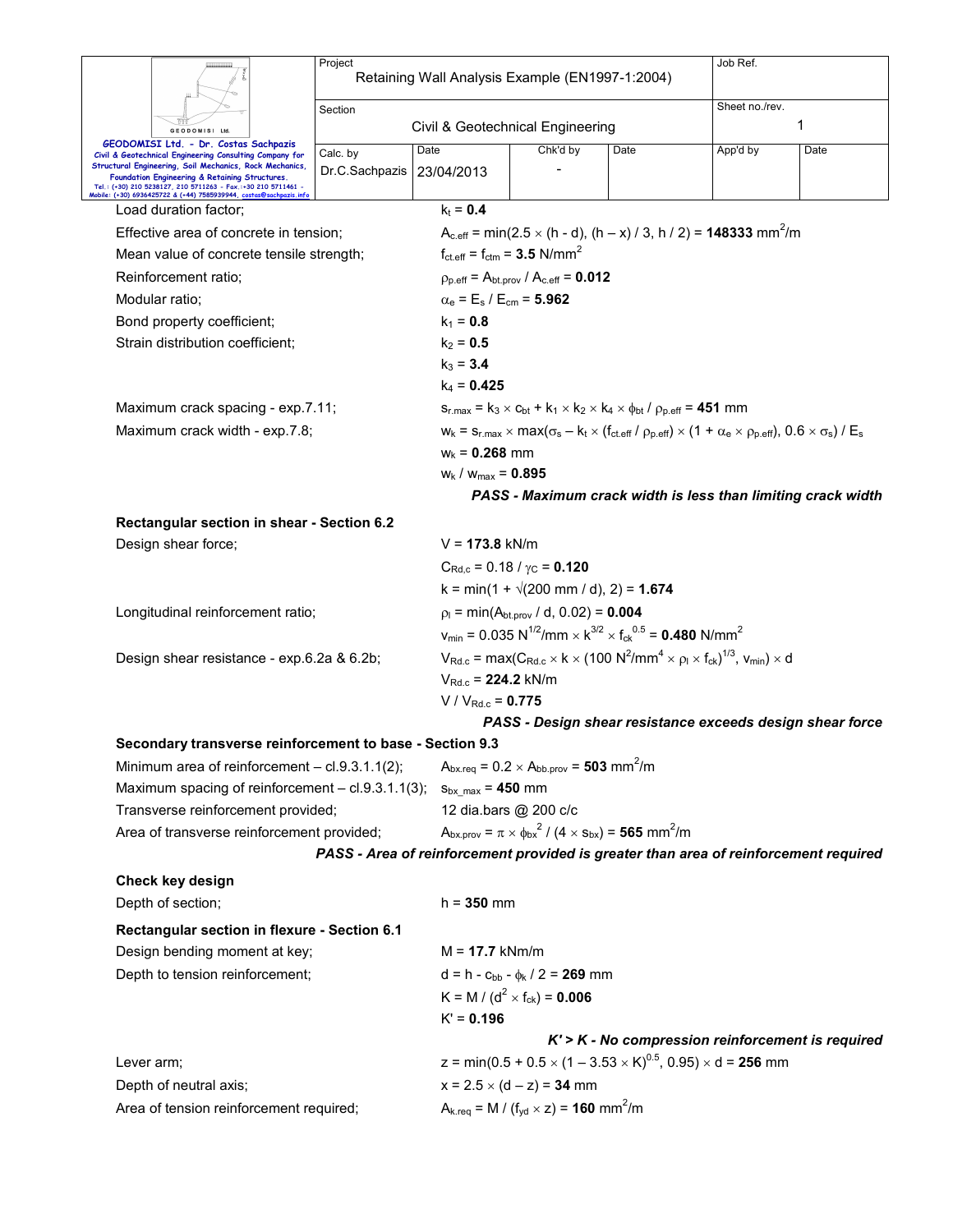|                                 |                                                                                                                                                                       | Project                              |                                                              | Job Ref.                                                                                                                                      |   |                                                                                                                                                      |      |  |  |  |
|---------------------------------|-----------------------------------------------------------------------------------------------------------------------------------------------------------------------|--------------------------------------|--------------------------------------------------------------|-----------------------------------------------------------------------------------------------------------------------------------------------|---|------------------------------------------------------------------------------------------------------------------------------------------------------|------|--|--|--|
|                                 |                                                                                                                                                                       |                                      | Retaining Wall Analysis Example (EN1997-1:2004)              |                                                                                                                                               |   |                                                                                                                                                      |      |  |  |  |
|                                 |                                                                                                                                                                       | Section                              |                                                              | Sheet no./rev.                                                                                                                                |   |                                                                                                                                                      |      |  |  |  |
| GEODOMISI Ltd.                  |                                                                                                                                                                       |                                      | Civil & Geotechnical Engineering                             |                                                                                                                                               | 1 |                                                                                                                                                      |      |  |  |  |
|                                 | GEODOMISI Ltd. - Dr. Costas Sachpazis                                                                                                                                 | Chk'd by<br>Date<br>Date<br>Calc. by |                                                              |                                                                                                                                               |   | App'd by                                                                                                                                             | Date |  |  |  |
|                                 | Civil & Geotechnical Engineering Consulting Company for<br>Structural Engineering, Soil Mechanics, Rock Mechanics,                                                    | Dr.C.Sachpazis                       | 23/04/2013                                                   |                                                                                                                                               |   |                                                                                                                                                      |      |  |  |  |
|                                 | Foundation Engineering & Retaining Structures.<br>Tel.: (+30) 210 5238127, 210 5711263 - Fax.:+30 210 5711461 -<br>Mobile: (+30) 6936425722 & (+44) 7585939944, coste |                                      |                                                              |                                                                                                                                               |   |                                                                                                                                                      |      |  |  |  |
|                                 | Load duration factor;                                                                                                                                                 |                                      | $k_t = 0.4$                                                  |                                                                                                                                               |   |                                                                                                                                                      |      |  |  |  |
|                                 | Effective area of concrete in tension;                                                                                                                                |                                      |                                                              |                                                                                                                                               |   | $A_{c,eff}$ = min(2.5 $\times$ (h - d), (h – x) / 3, h / 2) = <b>148333</b> mm <sup>2</sup> /m                                                       |      |  |  |  |
|                                 | Mean value of concrete tensile strength;                                                                                                                              |                                      |                                                              | $f_{\text{ct.eff}} = f_{\text{ctm}} = 3.5 \text{ N/mm}^2$                                                                                     |   |                                                                                                                                                      |      |  |  |  |
|                                 | Reinforcement ratio:                                                                                                                                                  |                                      |                                                              | $\rho_{p.eff} = A_{bt.prov} / A_{c.eff} = 0.012$                                                                                              |   |                                                                                                                                                      |      |  |  |  |
|                                 | Modular ratio;                                                                                                                                                        |                                      |                                                              |                                                                                                                                               |   |                                                                                                                                                      |      |  |  |  |
|                                 | Bond property coefficient;                                                                                                                                            |                                      | $k_1 = 0.8$                                                  | $\alpha_e = E_s / E_{cm} = 5.962$                                                                                                             |   |                                                                                                                                                      |      |  |  |  |
|                                 |                                                                                                                                                                       |                                      | $k_2 = 0.5$                                                  |                                                                                                                                               |   |                                                                                                                                                      |      |  |  |  |
|                                 | Strain distribution coefficient;                                                                                                                                      |                                      | $k_3 = 3.4$                                                  |                                                                                                                                               |   |                                                                                                                                                      |      |  |  |  |
|                                 |                                                                                                                                                                       |                                      |                                                              |                                                                                                                                               |   |                                                                                                                                                      |      |  |  |  |
|                                 |                                                                                                                                                                       |                                      | $k_4$ = 0.425                                                |                                                                                                                                               |   |                                                                                                                                                      |      |  |  |  |
|                                 | Maximum crack spacing - exp.7.11;                                                                                                                                     |                                      |                                                              | $S_{r, max} = k_3 \times C_{bt} + k_1 \times k_2 \times k_4 \times \phi_{bt} / \rho_{p, eff} = 451$ mm                                        |   |                                                                                                                                                      |      |  |  |  |
|                                 | Maximum crack width - exp.7.8;                                                                                                                                        |                                      |                                                              |                                                                                                                                               |   | $w_k = s_{r,max} \times max(\sigma_s - k_t \times (f_{ct.eff} / \rho_{p.eff}) \times (1 + \alpha_e \times \rho_{p.eff}), 0.6 \times \sigma_s) / E_s$ |      |  |  |  |
|                                 |                                                                                                                                                                       |                                      | $W_k = 0.268$ mm                                             |                                                                                                                                               |   |                                                                                                                                                      |      |  |  |  |
|                                 |                                                                                                                                                                       |                                      | $W_k$ / $W_{max} = 0.895$                                    |                                                                                                                                               |   |                                                                                                                                                      |      |  |  |  |
|                                 |                                                                                                                                                                       |                                      |                                                              | PASS - Maximum crack width is less than limiting crack width                                                                                  |   |                                                                                                                                                      |      |  |  |  |
|                                 | Rectangular section in shear - Section 6.2                                                                                                                            |                                      |                                                              |                                                                                                                                               |   |                                                                                                                                                      |      |  |  |  |
|                                 | Design shear force;                                                                                                                                                   |                                      | $V = 173.8$ kN/m                                             |                                                                                                                                               |   |                                                                                                                                                      |      |  |  |  |
|                                 |                                                                                                                                                                       |                                      |                                                              | $C_{\text{Rd},c}$ = 0.18 / $\gamma_{\text{C}}$ = 0.120                                                                                        |   |                                                                                                                                                      |      |  |  |  |
|                                 |                                                                                                                                                                       |                                      |                                                              | $k = min(1 + \sqrt{200} \text{ mm } / \text{ d}), 2) = 1.674$                                                                                 |   |                                                                                                                                                      |      |  |  |  |
|                                 | Longitudinal reinforcement ratio;                                                                                                                                     |                                      |                                                              | $p_1 = min(A_{bt,prov} / d, 0.02) = 0.004$                                                                                                    |   |                                                                                                                                                      |      |  |  |  |
|                                 |                                                                                                                                                                       |                                      |                                                              | $v_{min}$ = 0.035 N <sup>1/2</sup> /mm $\times$ k <sup>3/2</sup> $\times$ f <sub>ck</sub> <sup>0.5</sup> = <b>0.480</b> N/mm <sup>2</sup>     |   |                                                                                                                                                      |      |  |  |  |
|                                 | Design shear resistance - exp.6.2a & 6.2b;                                                                                                                            |                                      |                                                              | $V_{Rd,c}$ = max(C <sub>Rd.c</sub> × k × (100 N <sup>2</sup> /mm <sup>4</sup> × $\rho_1$ × f <sub>ck</sub> ) <sup>1/3</sup> , $V_{min}$ ) × d |   |                                                                                                                                                      |      |  |  |  |
|                                 |                                                                                                                                                                       |                                      | $V_{\text{Rd} c}$ = 224.2 kN/m                               |                                                                                                                                               |   |                                                                                                                                                      |      |  |  |  |
|                                 |                                                                                                                                                                       | $V / V_{Rd.c} = 0.775$               |                                                              |                                                                                                                                               |   |                                                                                                                                                      |      |  |  |  |
|                                 |                                                                                                                                                                       |                                      |                                                              |                                                                                                                                               |   | PASS - Design shear resistance exceeds design shear force                                                                                            |      |  |  |  |
|                                 | Secondary transverse reinforcement to base - Section 9.3                                                                                                              |                                      |                                                              |                                                                                                                                               |   |                                                                                                                                                      |      |  |  |  |
|                                 | Minimum area of reinforcement - cl.9.3.1.1(2);                                                                                                                        |                                      |                                                              | $A_{bx,req} = 0.2 \times A_{bb,prov} = 503$ mm <sup>2</sup> /m                                                                                |   |                                                                                                                                                      |      |  |  |  |
|                                 | Maximum spacing of reinforcement - cl.9.3.1.1(3); $s_{bx\_max} = 450$ mm                                                                                              |                                      |                                                              |                                                                                                                                               |   |                                                                                                                                                      |      |  |  |  |
|                                 | Transverse reinforcement provided;                                                                                                                                    |                                      |                                                              | 12 dia.bars @ 200 c/c                                                                                                                         |   |                                                                                                                                                      |      |  |  |  |
|                                 | Area of transverse reinforcement provided;                                                                                                                            |                                      |                                                              | $A_{\text{bx},\text{prov}} = \pi \times \phi_{\text{bx}}^2 / (4 \times s_{\text{bx}}) = 565 \text{ mm}^2/\text{m}$                            |   |                                                                                                                                                      |      |  |  |  |
|                                 |                                                                                                                                                                       |                                      |                                                              |                                                                                                                                               |   | PASS - Area of reinforcement provided is greater than area of reinforcement required                                                                 |      |  |  |  |
|                                 | Check key design                                                                                                                                                      |                                      |                                                              |                                                                                                                                               |   |                                                                                                                                                      |      |  |  |  |
|                                 | Depth of section;                                                                                                                                                     |                                      | $h = 350$ mm                                                 |                                                                                                                                               |   |                                                                                                                                                      |      |  |  |  |
|                                 | Rectangular section in flexure - Section 6.1                                                                                                                          |                                      |                                                              |                                                                                                                                               |   |                                                                                                                                                      |      |  |  |  |
|                                 | Design bending moment at key;                                                                                                                                         |                                      | $M = 17.7$ kNm/m                                             |                                                                                                                                               |   |                                                                                                                                                      |      |  |  |  |
| Depth to tension reinforcement; |                                                                                                                                                                       |                                      |                                                              | $d = h - c_{bb} - \phi_k / 2 = 269$ mm                                                                                                        |   |                                                                                                                                                      |      |  |  |  |
|                                 |                                                                                                                                                                       |                                      |                                                              | K = M / ( $d^2$ × f <sub>ck</sub> ) = <b>0.006</b>                                                                                            |   |                                                                                                                                                      |      |  |  |  |
|                                 | $K' = 0.196$                                                                                                                                                          |                                      |                                                              |                                                                                                                                               |   |                                                                                                                                                      |      |  |  |  |
|                                 |                                                                                                                                                                       |                                      |                                                              |                                                                                                                                               |   | $K'$ > $K$ - No compression reinforcement is required                                                                                                |      |  |  |  |
| Lever arm;                      |                                                                                                                                                                       |                                      |                                                              |                                                                                                                                               |   | z = min(0.5 + 0.5 $\times$ (1 – 3.53 $\times$ K) <sup>0.5</sup> , 0.95) $\times$ d = <b>256</b> mm                                                   |      |  |  |  |
|                                 | Depth of neutral axis;                                                                                                                                                |                                      |                                                              | $x = 2.5 \times (d - z) = 34$ mm                                                                                                              |   |                                                                                                                                                      |      |  |  |  |
|                                 | Area of tension reinforcement required;                                                                                                                               |                                      | $A_{k,req} = M / (f_{yd} \times z) = 160$ mm <sup>2</sup> /m |                                                                                                                                               |   |                                                                                                                                                      |      |  |  |  |
|                                 |                                                                                                                                                                       |                                      |                                                              |                                                                                                                                               |   |                                                                                                                                                      |      |  |  |  |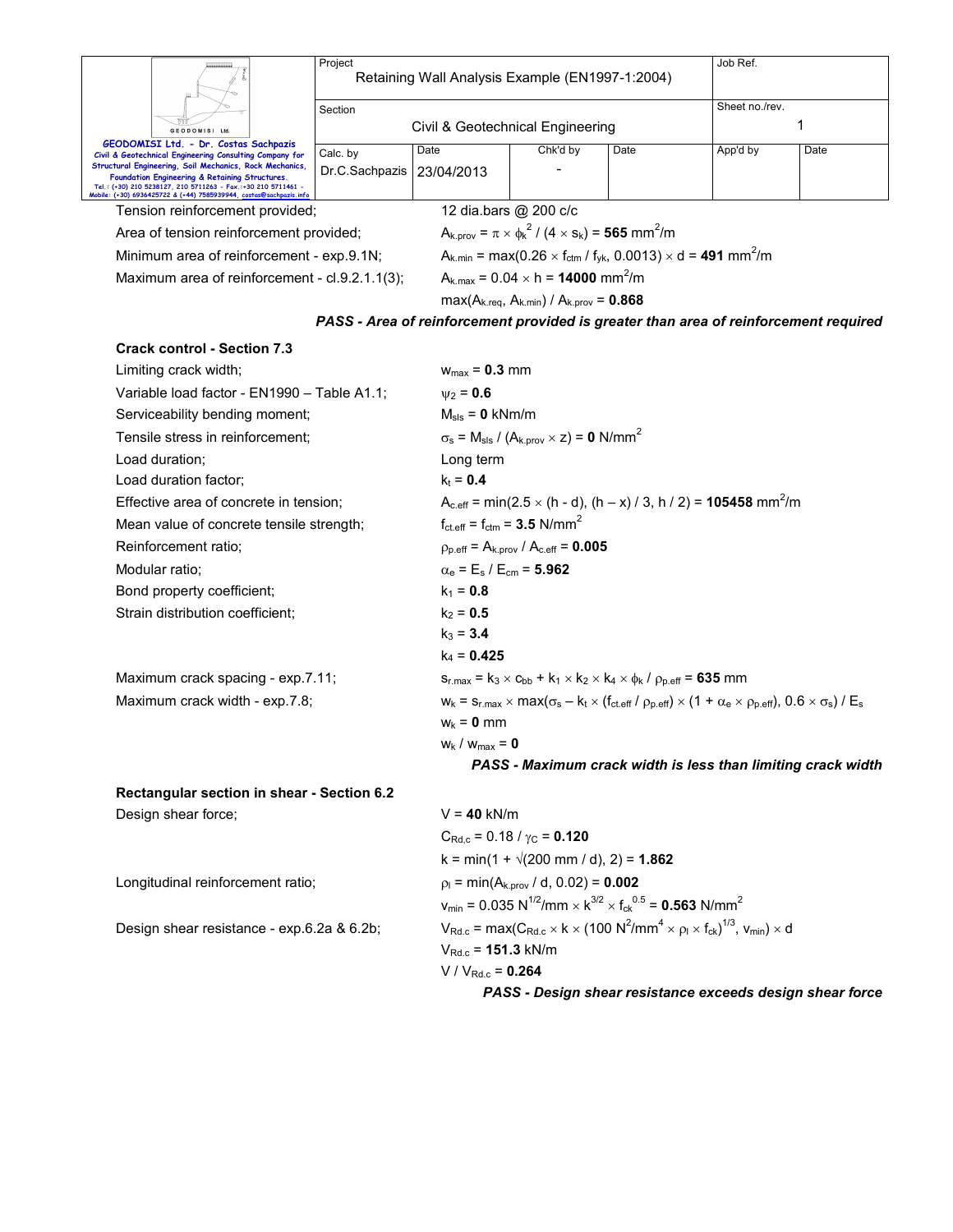|                                                                                                                                                                                                                                                                                                                    | Project                          | Retaining Wall Analysis Example (EN1997-1:2004)             | Job Ref.                                                                               |                                                                                                                                                                           |                     |                                                                                      |  |  |  |
|--------------------------------------------------------------------------------------------------------------------------------------------------------------------------------------------------------------------------------------------------------------------------------------------------------------------|----------------------------------|-------------------------------------------------------------|----------------------------------------------------------------------------------------|---------------------------------------------------------------------------------------------------------------------------------------------------------------------------|---------------------|--------------------------------------------------------------------------------------|--|--|--|
|                                                                                                                                                                                                                                                                                                                    |                                  |                                                             |                                                                                        |                                                                                                                                                                           |                     |                                                                                      |  |  |  |
|                                                                                                                                                                                                                                                                                                                    | Section                          |                                                             |                                                                                        |                                                                                                                                                                           | Sheet no./rev.<br>1 |                                                                                      |  |  |  |
| GEODOMISI Ltd.<br>GEODOMISI Ltd. - Dr. Costas Sachpazis                                                                                                                                                                                                                                                            | Civil & Geotechnical Engineering |                                                             |                                                                                        |                                                                                                                                                                           |                     |                                                                                      |  |  |  |
| Civil & Geotechnical Engineering Consulting Company for<br>Structural Engineering, Soil Mechanics, Rock Mechanics,<br>Foundation Engineering & Retaining Structures.<br>Tel.: (+30) 210 5238127, 210 5711263 - Fax.:+30 210 5711461 -<br>Mobile: (+30) 6936425722 & (+44) 7585939944, <u>costas@sachpazis.info</u> | Calc. by<br>Dr.C.Sachpazis       | Date<br>23/04/2013                                          | Chk'd by                                                                               | Date                                                                                                                                                                      | App'd by            | Date                                                                                 |  |  |  |
| Tension reinforcement provided;                                                                                                                                                                                                                                                                                    |                                  |                                                             | 12 dia.bars @ 200 c/c                                                                  |                                                                                                                                                                           |                     |                                                                                      |  |  |  |
| Area of tension reinforcement provided;                                                                                                                                                                                                                                                                            |                                  |                                                             | $A_{k,prov} = \pi \times \phi_k^2 / (4 \times s_k) = 565$ mm <sup>2</sup> /m           |                                                                                                                                                                           |                     |                                                                                      |  |  |  |
| Minimum area of reinforcement - exp.9.1N;                                                                                                                                                                                                                                                                          |                                  |                                                             |                                                                                        | $A_{k,min}$ = max(0.26 $\times$ f <sub>ctm</sub> / f <sub>yk</sub> , 0.0013) $\times$ d = <b>491</b> mm <sup>2</sup> /m                                                   |                     |                                                                                      |  |  |  |
| Maximum area of reinforcement - cl.9.2.1.1(3);                                                                                                                                                                                                                                                                     |                                  |                                                             | $A_{k, max} = 0.04 \times h = 14000$ mm <sup>2</sup> /m                                |                                                                                                                                                                           |                     |                                                                                      |  |  |  |
|                                                                                                                                                                                                                                                                                                                    |                                  |                                                             | $max(A_{k.read}, A_{k.min}) / A_{k.prov} = 0.868$                                      |                                                                                                                                                                           |                     |                                                                                      |  |  |  |
|                                                                                                                                                                                                                                                                                                                    |                                  |                                                             |                                                                                        |                                                                                                                                                                           |                     | PASS - Area of reinforcement provided is greater than area of reinforcement required |  |  |  |
| <b>Crack control - Section 7.3</b>                                                                                                                                                                                                                                                                                 |                                  |                                                             |                                                                                        |                                                                                                                                                                           |                     |                                                                                      |  |  |  |
| Limiting crack width;                                                                                                                                                                                                                                                                                              |                                  | $w_{max} = 0.3$ mm                                          |                                                                                        |                                                                                                                                                                           |                     |                                                                                      |  |  |  |
| Variable load factor - EN1990 - Table A1.1;                                                                                                                                                                                                                                                                        |                                  | $v_2 = 0.6$                                                 |                                                                                        |                                                                                                                                                                           |                     |                                                                                      |  |  |  |
| Serviceability bending moment;                                                                                                                                                                                                                                                                                     |                                  | $M_{\rm{sls}} = 0$ kNm/m                                    |                                                                                        |                                                                                                                                                                           |                     |                                                                                      |  |  |  |
| Tensile stress in reinforcement:                                                                                                                                                                                                                                                                                   |                                  |                                                             | $\sigma_s$ = M <sub>sls</sub> / (A <sub>k.prov</sub> $\times$ z) = 0 N/mm <sup>2</sup> |                                                                                                                                                                           |                     |                                                                                      |  |  |  |
| Load duration;                                                                                                                                                                                                                                                                                                     | Long term                        |                                                             |                                                                                        |                                                                                                                                                                           |                     |                                                                                      |  |  |  |
| Load duration factor;                                                                                                                                                                                                                                                                                              | $k_t = 0.4$                      |                                                             |                                                                                        |                                                                                                                                                                           |                     |                                                                                      |  |  |  |
| Effective area of concrete in tension;                                                                                                                                                                                                                                                                             |                                  |                                                             |                                                                                        | $A_{c,eff}$ = min(2.5 $\times$ (h - d), (h – x) / 3, h / 2) = <b>105458</b> mm <sup>2</sup> /m                                                                            |                     |                                                                                      |  |  |  |
| Mean value of concrete tensile strength;                                                                                                                                                                                                                                                                           |                                  |                                                             | $f_{\text{ct.eff}} = f_{\text{ctm}} = 3.5 \text{ N/mm}^2$                              |                                                                                                                                                                           |                     |                                                                                      |  |  |  |
| Reinforcement ratio;                                                                                                                                                                                                                                                                                               |                                  |                                                             | $p_{p,eff} = A_{k,prov} / A_{c,eff} = 0.005$                                           |                                                                                                                                                                           |                     |                                                                                      |  |  |  |
| Modular ratio;                                                                                                                                                                                                                                                                                                     |                                  | $\alpha_{\rm e}$ = E <sub>s</sub> / E <sub>cm</sub> = 5.962 |                                                                                        |                                                                                                                                                                           |                     |                                                                                      |  |  |  |
| Bond property coefficient;                                                                                                                                                                                                                                                                                         |                                  | $k_1 = 0.8$                                                 |                                                                                        |                                                                                                                                                                           |                     |                                                                                      |  |  |  |
| Strain distribution coefficient;                                                                                                                                                                                                                                                                                   |                                  | $k_2 = 0.5$                                                 |                                                                                        |                                                                                                                                                                           |                     |                                                                                      |  |  |  |
|                                                                                                                                                                                                                                                                                                                    |                                  | $k_3 = 3.4$                                                 |                                                                                        |                                                                                                                                                                           |                     |                                                                                      |  |  |  |
|                                                                                                                                                                                                                                                                                                                    |                                  | $k_4 = 0.425$                                               |                                                                                        |                                                                                                                                                                           |                     |                                                                                      |  |  |  |
| Maximum crack spacing - exp.7.11;                                                                                                                                                                                                                                                                                  |                                  |                                                             |                                                                                        | $s_{r,max} = k_3 \times c_{bb} + k_1 \times k_2 \times k_4 \times \phi_k / \rho_{p,eff} = 635$ mm                                                                         |                     |                                                                                      |  |  |  |
| Maximum crack width - exp.7.8;                                                                                                                                                                                                                                                                                     |                                  |                                                             |                                                                                        | $W_k = S_{r,max} \times max(\sigma_s - k_t \times (f_{ct\text{-eff}} / \rho_{p\text{-eff}}) \times (1 + \alpha_e \times \rho_{p\text{-eff}}), 0.6 \times \sigma_s) / E_s$ |                     |                                                                                      |  |  |  |
|                                                                                                                                                                                                                                                                                                                    |                                  | $w_k = 0$ mm                                                |                                                                                        |                                                                                                                                                                           |                     |                                                                                      |  |  |  |
|                                                                                                                                                                                                                                                                                                                    | $w_k / w_{max} = 0$              |                                                             |                                                                                        |                                                                                                                                                                           |                     |                                                                                      |  |  |  |
|                                                                                                                                                                                                                                                                                                                    |                                  |                                                             |                                                                                        |                                                                                                                                                                           |                     | PASS - Maximum crack width is less than limiting crack width                         |  |  |  |
| Rectangular section in shear - Section 6.2                                                                                                                                                                                                                                                                         |                                  |                                                             |                                                                                        |                                                                                                                                                                           |                     |                                                                                      |  |  |  |
| Design shear force;                                                                                                                                                                                                                                                                                                |                                  | $V = 40$ kN/m                                               |                                                                                        |                                                                                                                                                                           |                     |                                                                                      |  |  |  |
|                                                                                                                                                                                                                                                                                                                    |                                  |                                                             | $C_{\text{Rd},c}$ = 0.18 / $\gamma_{\text{C}}$ = 0.120                                 |                                                                                                                                                                           |                     |                                                                                      |  |  |  |
|                                                                                                                                                                                                                                                                                                                    |                                  |                                                             | $k = min(1 + \sqrt{200} \text{ mm } / \text{ d}), 2) = 1.862$                          |                                                                                                                                                                           |                     |                                                                                      |  |  |  |
| Longitudinal reinforcement ratio;                                                                                                                                                                                                                                                                                  |                                  | $p_1 = min(A_{k,prov}/ d, 0.02) = 0.002$                    |                                                                                        |                                                                                                                                                                           |                     |                                                                                      |  |  |  |
|                                                                                                                                                                                                                                                                                                                    |                                  |                                                             |                                                                                        | $v_{\text{min}} = 0.035 \text{ N}^{1/2}/\text{mm} \times \text{K}^{3/2} \times \text{f}_{\text{ck}}^{0.5} = 0.563 \text{ N/mm}^2$                                         |                     |                                                                                      |  |  |  |
| Design shear resistance - exp.6.2a & 6.2b;                                                                                                                                                                                                                                                                         |                                  | $V_{Rd.c} = 151.3$ kN/m                                     |                                                                                        | $V_{\text{Rd.c}}$ = max( $C_{\text{Rd.c}} \times k \times (100 \text{ N}^2/\text{mm}^4 \times \rho_l \times f_{\text{ck}})^{1/3}$ , $V_{\text{min}} \times d$             |                     |                                                                                      |  |  |  |
|                                                                                                                                                                                                                                                                                                                    |                                  | $V / V_{Rd.c} = 0.264$                                      |                                                                                        |                                                                                                                                                                           |                     |                                                                                      |  |  |  |

*PASS - Design shear resistance exceeds design shear force*